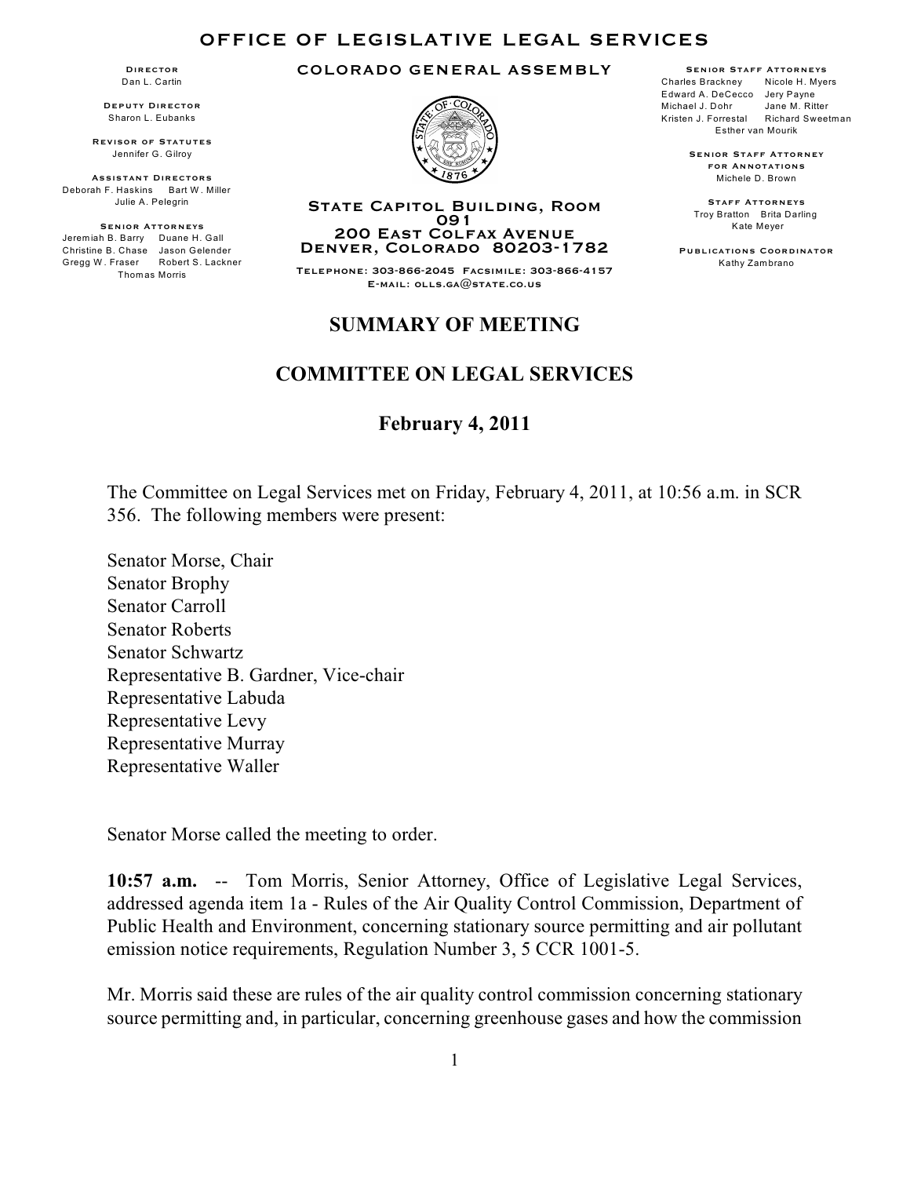#### **OFFICE OF LEGISLATIVE LEGAL SERVICES**

**Director** Dan L. Cartin

**Deputy Director** Sharon L. Eubanks

**Revisor of Statutes** Jennifer G. Gilroy

**Assistant Directors** Deborah F. Haskins Bart W. Miller Julie A. Pelegrin

**Senior Attorneys** Jerem iah B. Barry Duane H. Gall Christine B. Chase Jason Gelender Gregg W . Fraser Robert S. Lackner Thom as Morris







**Senior Staff Attorney for Annotations** Michele D. Brown

**Staff Attorneys** Troy Bratton Brita Darling Kate Meyer

**Publications Coordinator** Kathy Zam brano

#### **State Capitol Building, Room 091 200 East Colfax Avenue Denver, Colorado 80203-1782**

**Telephone: 303-866-2045 Facsimile: 303-866-4157 E-mail: olls.ga@state.co.us**

# **SUMMARY OF MEETING**

### **COMMITTEE ON LEGAL SERVICES**

### **February 4, 2011**

The Committee on Legal Services met on Friday, February 4, 2011, at 10:56 a.m. in SCR 356. The following members were present:

Senator Morse, Chair Senator Brophy Senator Carroll Senator Roberts Senator Schwartz Representative B. Gardner, Vice-chair Representative Labuda Representative Levy Representative Murray Representative Waller

Senator Morse called the meeting to order.

**10:57 a.m.** -- Tom Morris, Senior Attorney, Office of Legislative Legal Services, addressed agenda item 1a - Rules of the Air Quality Control Commission, Department of Public Health and Environment, concerning stationary source permitting and air pollutant emission notice requirements, Regulation Number 3, 5 CCR 1001-5.

Mr. Morris said these are rules of the air quality control commission concerning stationary source permitting and, in particular, concerning greenhouse gases and how the commission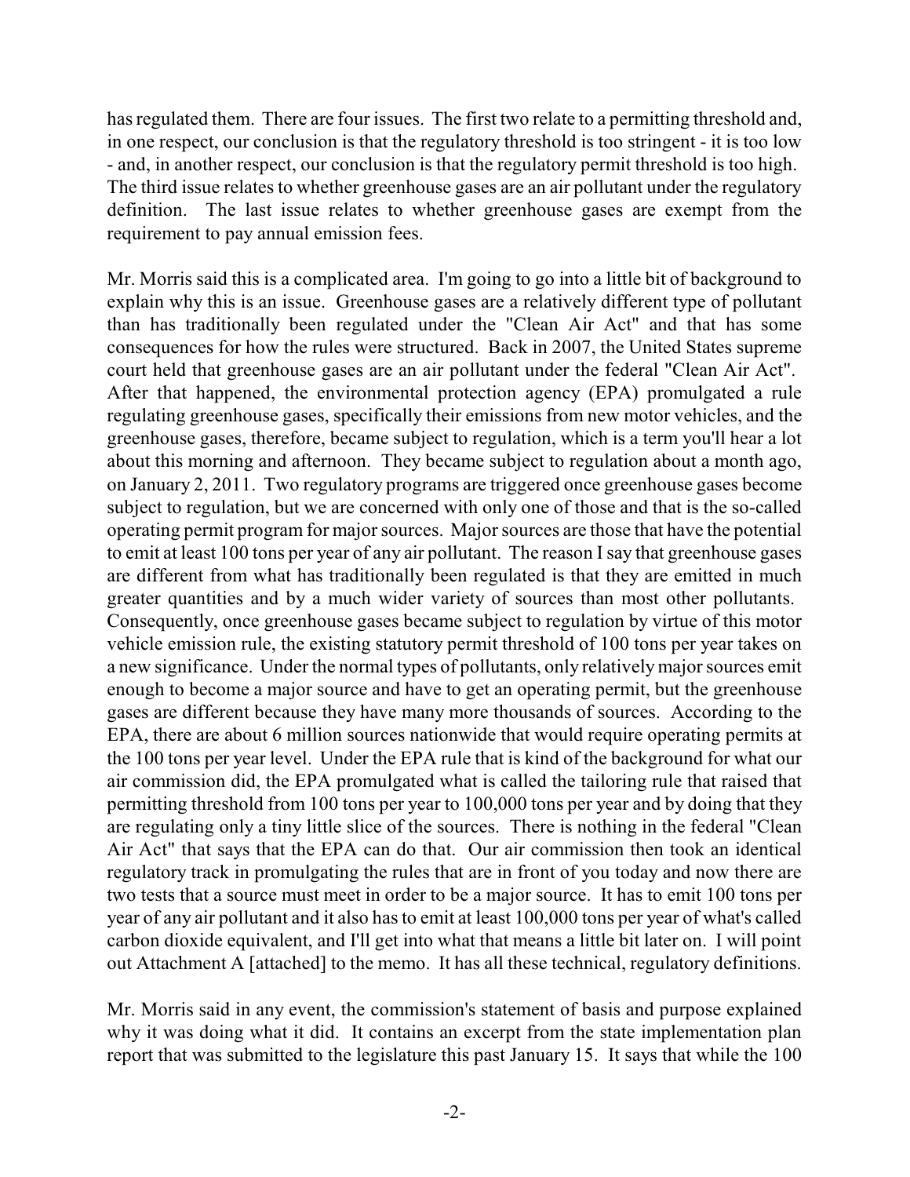has regulated them. There are four issues. The first two relate to a permitting threshold and, in one respect, our conclusion is that the regulatory threshold is too stringent - it is too low - and, in another respect, our conclusion is that the regulatory permit threshold is too high. The third issue relates to whether greenhouse gases are an air pollutant under the regulatory definition. The last issue relates to whether greenhouse gases are exempt from the requirement to pay annual emission fees.

Mr. Morris said this is a complicated area. I'm going to go into a little bit of background to explain why this is an issue. Greenhouse gases are a relatively different type of pollutant than has traditionally been regulated under the "Clean Air Act" and that has some consequences for how the rules were structured. Back in 2007, the United States supreme court held that greenhouse gases are an air pollutant under the federal "Clean Air Act". After that happened, the environmental protection agency (EPA) promulgated a rule regulating greenhouse gases, specifically their emissions from new motor vehicles, and the greenhouse gases, therefore, became subject to regulation, which is a term you'll hear a lot about this morning and afternoon. They became subject to regulation about a month ago, on January 2, 2011. Two regulatory programs are triggered once greenhouse gases become subject to regulation, but we are concerned with only one of those and that is the so-called operating permit program for major sources. Major sources are those that have the potential to emit at least 100 tons per year of any air pollutant. The reason I say that greenhouse gases are different from what has traditionally been regulated is that they are emitted in much greater quantities and by a much wider variety of sources than most other pollutants. Consequently, once greenhouse gases became subject to regulation by virtue of this motor vehicle emission rule, the existing statutory permit threshold of 100 tons per year takes on a new significance. Under the normal types of pollutants, only relativelymajor sources emit enough to become a major source and have to get an operating permit, but the greenhouse gases are different because they have many more thousands of sources. According to the EPA, there are about 6 million sources nationwide that would require operating permits at the 100 tons per year level. Under the EPA rule that is kind of the background for what our air commission did, the EPA promulgated what is called the tailoring rule that raised that permitting threshold from 100 tons per year to 100,000 tons per year and by doing that they are regulating only a tiny little slice of the sources. There is nothing in the federal "Clean Air Act" that says that the EPA can do that. Our air commission then took an identical regulatory track in promulgating the rules that are in front of you today and now there are two tests that a source must meet in order to be a major source. It has to emit 100 tons per year of any air pollutant and it also has to emit at least 100,000 tons per year of what's called carbon dioxide equivalent, and I'll get into what that means a little bit later on. I will point out Attachment A [attached] to the memo. It has all these technical, regulatory definitions.

Mr. Morris said in any event, the commission's statement of basis and purpose explained why it was doing what it did. It contains an excerpt from the state implementation plan report that was submitted to the legislature this past January 15. It says that while the 100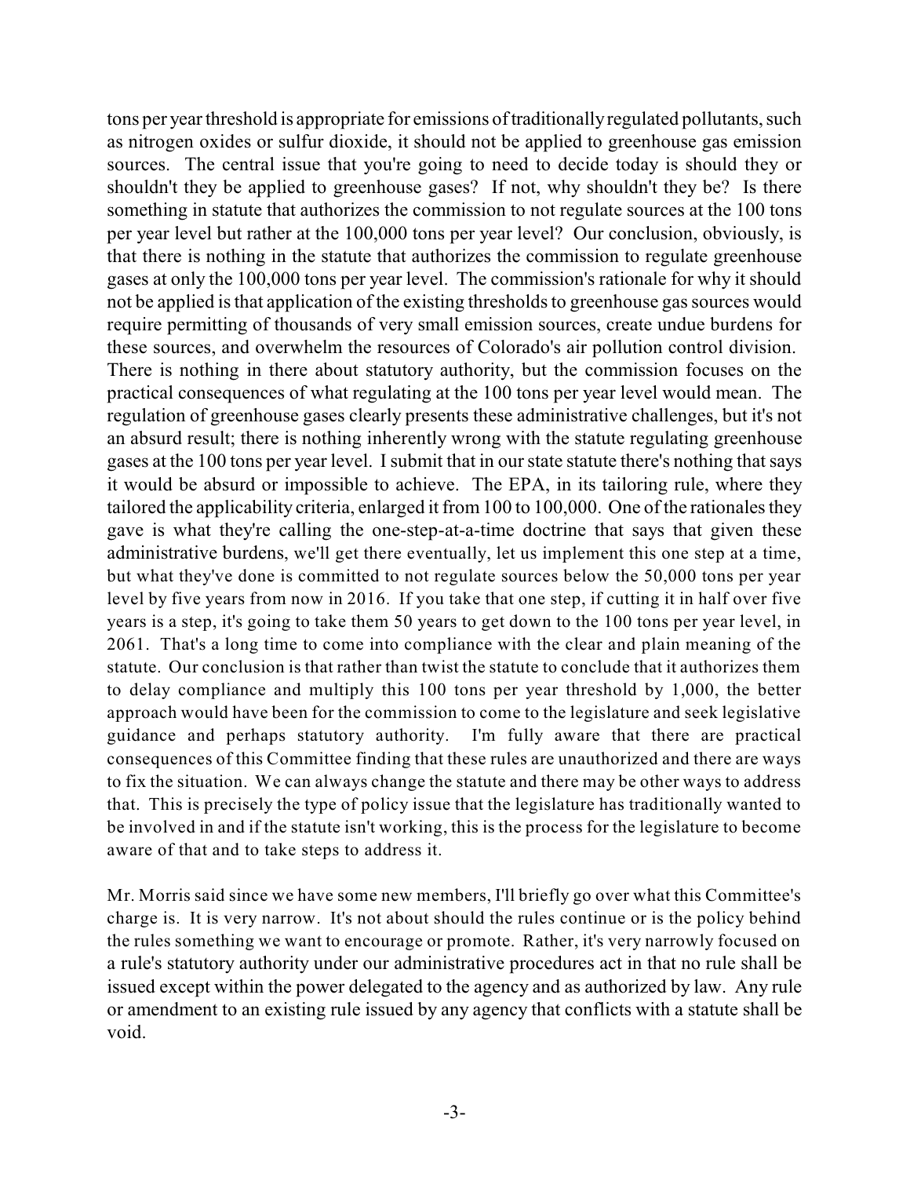tons per year threshold is appropriate for emissions of traditionallyregulated pollutants, such as nitrogen oxides or sulfur dioxide, it should not be applied to greenhouse gas emission sources. The central issue that you're going to need to decide today is should they or shouldn't they be applied to greenhouse gases? If not, why shouldn't they be? Is there something in statute that authorizes the commission to not regulate sources at the 100 tons per year level but rather at the 100,000 tons per year level? Our conclusion, obviously, is that there is nothing in the statute that authorizes the commission to regulate greenhouse gases at only the 100,000 tons per year level. The commission's rationale for why it should not be applied is that application of the existing thresholds to greenhouse gas sources would require permitting of thousands of very small emission sources, create undue burdens for these sources, and overwhelm the resources of Colorado's air pollution control division. There is nothing in there about statutory authority, but the commission focuses on the practical consequences of what regulating at the 100 tons per year level would mean. The regulation of greenhouse gases clearly presents these administrative challenges, but it's not an absurd result; there is nothing inherently wrong with the statute regulating greenhouse gases at the 100 tons per year level. I submit that in our state statute there's nothing that says it would be absurd or impossible to achieve. The EPA, in its tailoring rule, where they tailored the applicability criteria, enlarged it from100 to 100,000. One of the rationales they gave is what they're calling the one-step-at-a-time doctrine that says that given these administrative burdens, we'll get there eventually, let us implement this one step at a time, but what they've done is committed to not regulate sources below the 50,000 tons per year level by five years from now in 2016. If you take that one step, if cutting it in half over five years is a step, it's going to take them 50 years to get down to the 100 tons per year level, in 2061. That's a long time to come into compliance with the clear and plain meaning of the statute. Our conclusion is that rather than twist the statute to conclude that it authorizes them to delay compliance and multiply this 100 tons per year threshold by 1,000, the better approach would have been for the commission to come to the legislature and seek legislative guidance and perhaps statutory authority. I'm fully aware that there are practical consequences of this Committee finding that these rules are unauthorized and there are ways to fix the situation. We can always change the statute and there may be other ways to address that. This is precisely the type of policy issue that the legislature has traditionally wanted to be involved in and if the statute isn't working, this is the process for the legislature to become aware of that and to take steps to address it.

Mr. Morris said since we have some new members, I'll briefly go over what this Committee's charge is. It is very narrow. It's not about should the rules continue or is the policy behind the rules something we want to encourage or promote. Rather, it's very narrowly focused on a rule's statutory authority under our administrative procedures act in that no rule shall be issued except within the power delegated to the agency and as authorized by law. Any rule or amendment to an existing rule issued by any agency that conflicts with a statute shall be void.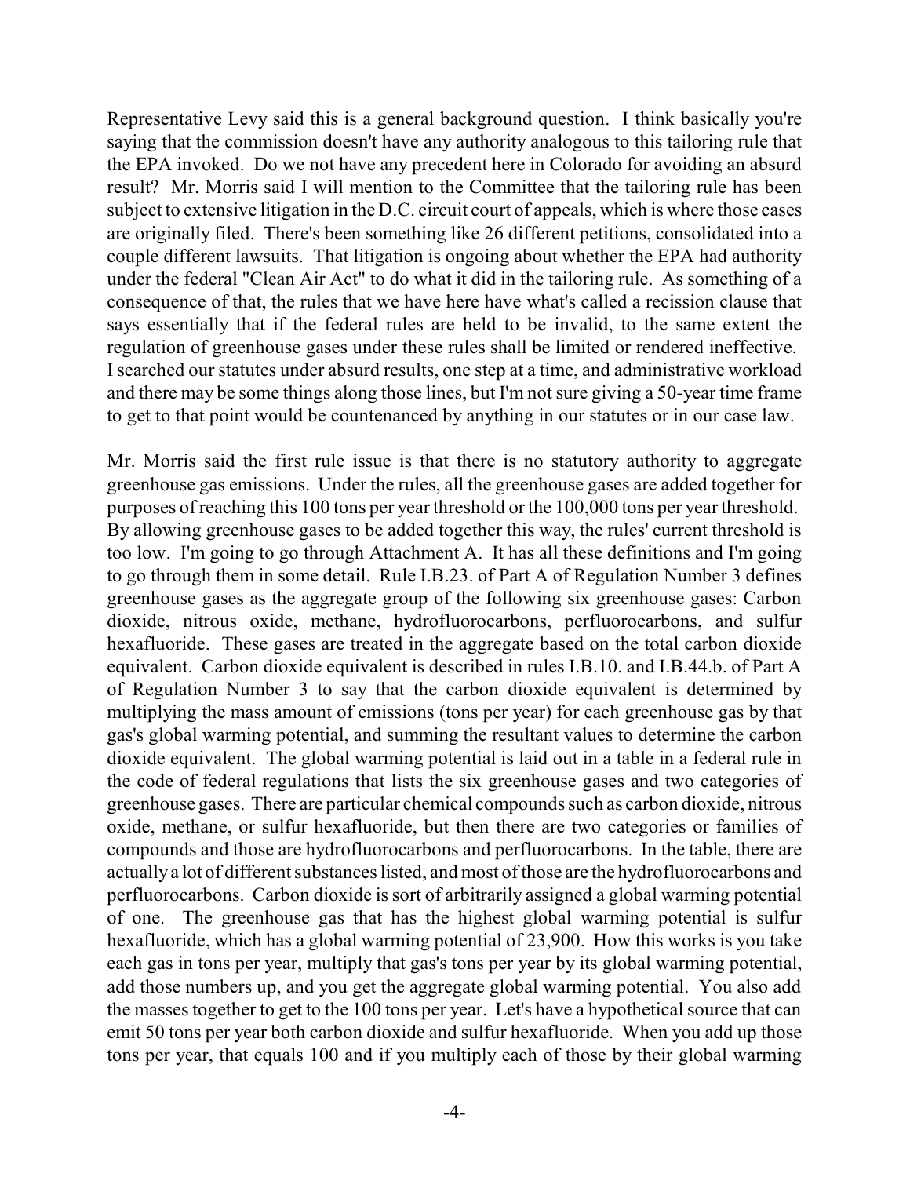Representative Levy said this is a general background question. I think basically you're saying that the commission doesn't have any authority analogous to this tailoring rule that the EPA invoked. Do we not have any precedent here in Colorado for avoiding an absurd result? Mr. Morris said I will mention to the Committee that the tailoring rule has been subject to extensive litigation in the D.C. circuit court of appeals, which is where those cases are originally filed. There's been something like 26 different petitions, consolidated into a couple different lawsuits. That litigation is ongoing about whether the EPA had authority under the federal "Clean Air Act" to do what it did in the tailoring rule. As something of a consequence of that, the rules that we have here have what's called a recission clause that says essentially that if the federal rules are held to be invalid, to the same extent the regulation of greenhouse gases under these rules shall be limited or rendered ineffective. I searched our statutes under absurd results, one step at a time, and administrative workload and there may be some things along those lines, but I'm not sure giving a 50-year time frame to get to that point would be countenanced by anything in our statutes or in our case law.

Mr. Morris said the first rule issue is that there is no statutory authority to aggregate greenhouse gas emissions. Under the rules, all the greenhouse gases are added together for purposes of reaching this 100 tons per year threshold or the 100,000 tons per year threshold. By allowing greenhouse gases to be added together this way, the rules' current threshold is too low. I'm going to go through Attachment A. It has all these definitions and I'm going to go through them in some detail. Rule I.B.23. of Part A of Regulation Number 3 defines greenhouse gases as the aggregate group of the following six greenhouse gases: Carbon dioxide, nitrous oxide, methane, hydrofluorocarbons, perfluorocarbons, and sulfur hexafluoride. These gases are treated in the aggregate based on the total carbon dioxide equivalent. Carbon dioxide equivalent is described in rules I.B.10. and I.B.44.b. of Part A of Regulation Number 3 to say that the carbon dioxide equivalent is determined by multiplying the mass amount of emissions (tons per year) for each greenhouse gas by that gas's global warming potential, and summing the resultant values to determine the carbon dioxide equivalent. The global warming potential is laid out in a table in a federal rule in the code of federal regulations that lists the six greenhouse gases and two categories of greenhouse gases. There are particular chemical compounds such as carbon dioxide, nitrous oxide, methane, or sulfur hexafluoride, but then there are two categories or families of compounds and those are hydrofluorocarbons and perfluorocarbons. In the table, there are actuallya lot of different substances listed, and most of those are the hydrofluorocarbons and perfluorocarbons. Carbon dioxide is sort of arbitrarily assigned a global warming potential of one. The greenhouse gas that has the highest global warming potential is sulfur hexafluoride, which has a global warming potential of 23,900. How this works is you take each gas in tons per year, multiply that gas's tons per year by its global warming potential, add those numbers up, and you get the aggregate global warming potential. You also add the masses together to get to the 100 tons per year. Let's have a hypothetical source that can emit 50 tons per year both carbon dioxide and sulfur hexafluoride. When you add up those tons per year, that equals 100 and if you multiply each of those by their global warming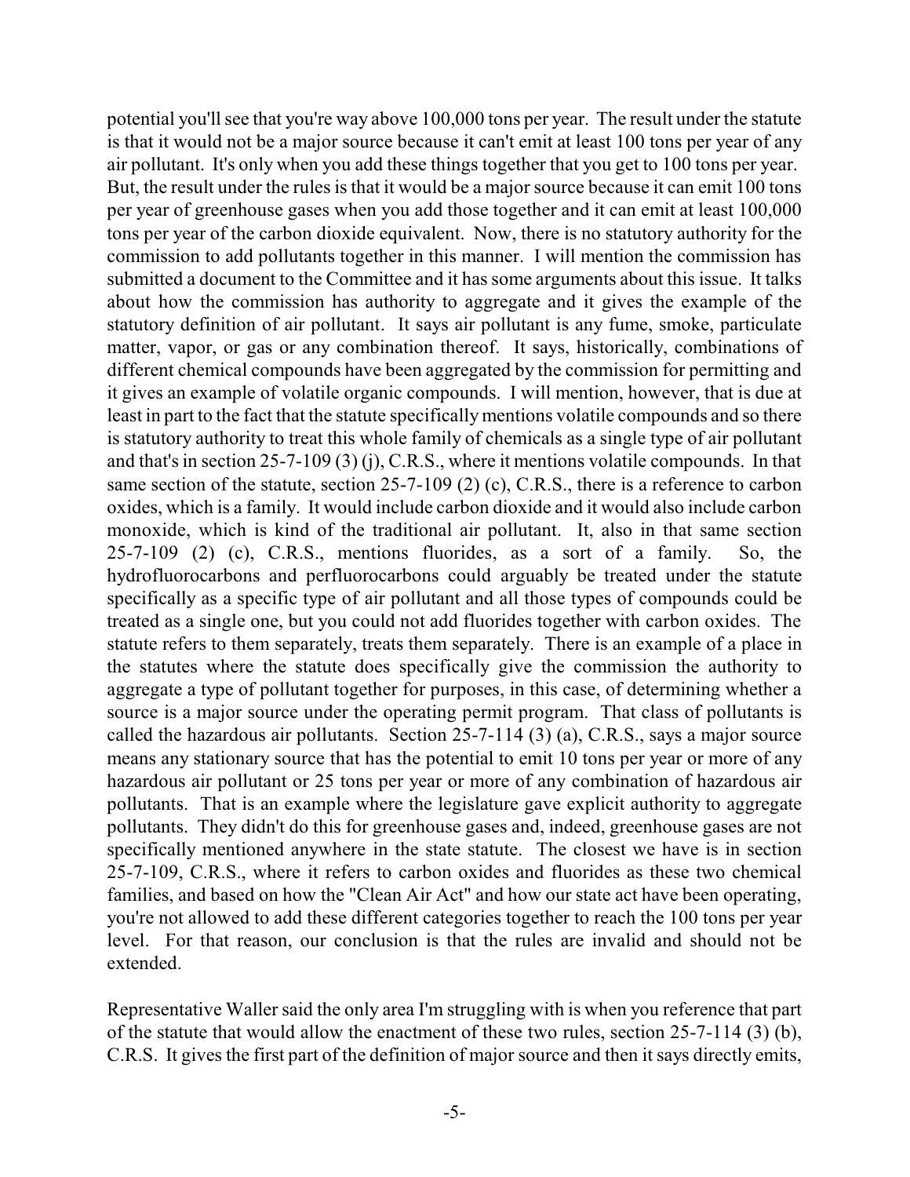potential you'll see that you're way above 100,000 tons per year. The result under the statute is that it would not be a major source because it can't emit at least 100 tons per year of any air pollutant. It's only when you add these things together that you get to 100 tons per year. But, the result under the rules is that it would be a major source because it can emit 100 tons per year of greenhouse gases when you add those together and it can emit at least 100,000 tons per year of the carbon dioxide equivalent. Now, there is no statutory authority for the commission to add pollutants together in this manner. I will mention the commission has submitted a document to the Committee and it has some arguments about this issue. It talks about how the commission has authority to aggregate and it gives the example of the statutory definition of air pollutant. It says air pollutant is any fume, smoke, particulate matter, vapor, or gas or any combination thereof. It says, historically, combinations of different chemical compounds have been aggregated by the commission for permitting and it gives an example of volatile organic compounds. I will mention, however, that is due at least in part to the fact that the statute specifically mentions volatile compounds and so there is statutory authority to treat this whole family of chemicals as a single type of air pollutant and that's in section 25-7-109 (3) (j), C.R.S., where it mentions volatile compounds. In that same section of the statute, section 25-7-109 (2) (c), C.R.S., there is a reference to carbon oxides, which is a family. It would include carbon dioxide and it would also include carbon monoxide, which is kind of the traditional air pollutant. It, also in that same section 25-7-109 (2) (c), C.R.S., mentions fluorides, as a sort of a family. So, the hydrofluorocarbons and perfluorocarbons could arguably be treated under the statute specifically as a specific type of air pollutant and all those types of compounds could be treated as a single one, but you could not add fluorides together with carbon oxides. The statute refers to them separately, treats them separately. There is an example of a place in the statutes where the statute does specifically give the commission the authority to aggregate a type of pollutant together for purposes, in this case, of determining whether a source is a major source under the operating permit program. That class of pollutants is called the hazardous air pollutants. Section 25-7-114 (3) (a), C.R.S., says a major source means any stationary source that has the potential to emit 10 tons per year or more of any hazardous air pollutant or 25 tons per year or more of any combination of hazardous air pollutants. That is an example where the legislature gave explicit authority to aggregate pollutants. They didn't do this for greenhouse gases and, indeed, greenhouse gases are not specifically mentioned anywhere in the state statute. The closest we have is in section 25-7-109, C.R.S., where it refers to carbon oxides and fluorides as these two chemical families, and based on how the "Clean Air Act" and how our state act have been operating, you're not allowed to add these different categories together to reach the 100 tons per year level. For that reason, our conclusion is that the rules are invalid and should not be extended.

Representative Waller said the only area I'm struggling with is when you reference that part of the statute that would allow the enactment of these two rules, section 25-7-114 (3) (b), C.R.S. It gives the first part of the definition of major source and then it says directly emits,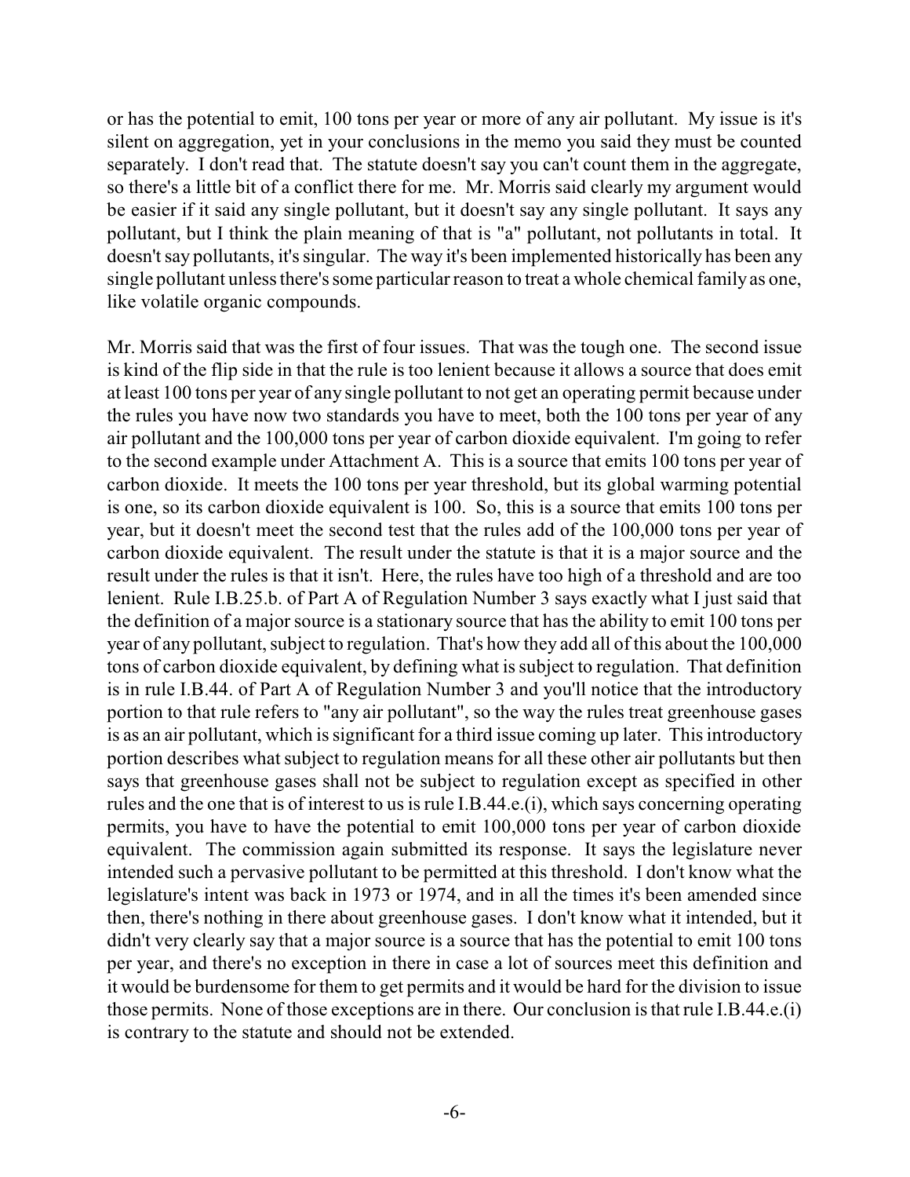or has the potential to emit, 100 tons per year or more of any air pollutant. My issue is it's silent on aggregation, yet in your conclusions in the memo you said they must be counted separately. I don't read that. The statute doesn't say you can't count them in the aggregate, so there's a little bit of a conflict there for me. Mr. Morris said clearly my argument would be easier if it said any single pollutant, but it doesn't say any single pollutant. It says any pollutant, but I think the plain meaning of that is "a" pollutant, not pollutants in total. It doesn't say pollutants, it's singular. The way it's been implemented historically has been any single pollutant unless there's some particular reason to treat a whole chemical familyas one, like volatile organic compounds.

Mr. Morris said that was the first of four issues. That was the tough one. The second issue is kind of the flip side in that the rule is too lenient because it allows a source that does emit at least 100 tons per year of any single pollutant to not get an operating permit because under the rules you have now two standards you have to meet, both the 100 tons per year of any air pollutant and the 100,000 tons per year of carbon dioxide equivalent. I'm going to refer to the second example under Attachment A. This is a source that emits 100 tons per year of carbon dioxide. It meets the 100 tons per year threshold, but its global warming potential is one, so its carbon dioxide equivalent is 100. So, this is a source that emits 100 tons per year, but it doesn't meet the second test that the rules add of the 100,000 tons per year of carbon dioxide equivalent. The result under the statute is that it is a major source and the result under the rules is that it isn't. Here, the rules have too high of a threshold and are too lenient. Rule I.B.25.b. of Part A of Regulation Number 3 says exactly what I just said that the definition of a major source is a stationary source that has the ability to emit 100 tons per year of any pollutant, subject to regulation. That's how they add all of this about the 100,000 tons of carbon dioxide equivalent, by defining what is subject to regulation. That definition is in rule I.B.44. of Part A of Regulation Number 3 and you'll notice that the introductory portion to that rule refers to "any air pollutant", so the way the rules treat greenhouse gases is as an air pollutant, which is significant for a third issue coming up later. This introductory portion describes what subject to regulation means for all these other air pollutants but then says that greenhouse gases shall not be subject to regulation except as specified in other rules and the one that is of interest to us is rule I.B.44.e.(i), which says concerning operating permits, you have to have the potential to emit 100,000 tons per year of carbon dioxide equivalent. The commission again submitted its response. It says the legislature never intended such a pervasive pollutant to be permitted at this threshold. I don't know what the legislature's intent was back in 1973 or 1974, and in all the times it's been amended since then, there's nothing in there about greenhouse gases. I don't know what it intended, but it didn't very clearly say that a major source is a source that has the potential to emit 100 tons per year, and there's no exception in there in case a lot of sources meet this definition and it would be burdensome for them to get permits and it would be hard for the division to issue those permits. None of those exceptions are in there. Our conclusion is that rule I.B.44.e.(i) is contrary to the statute and should not be extended.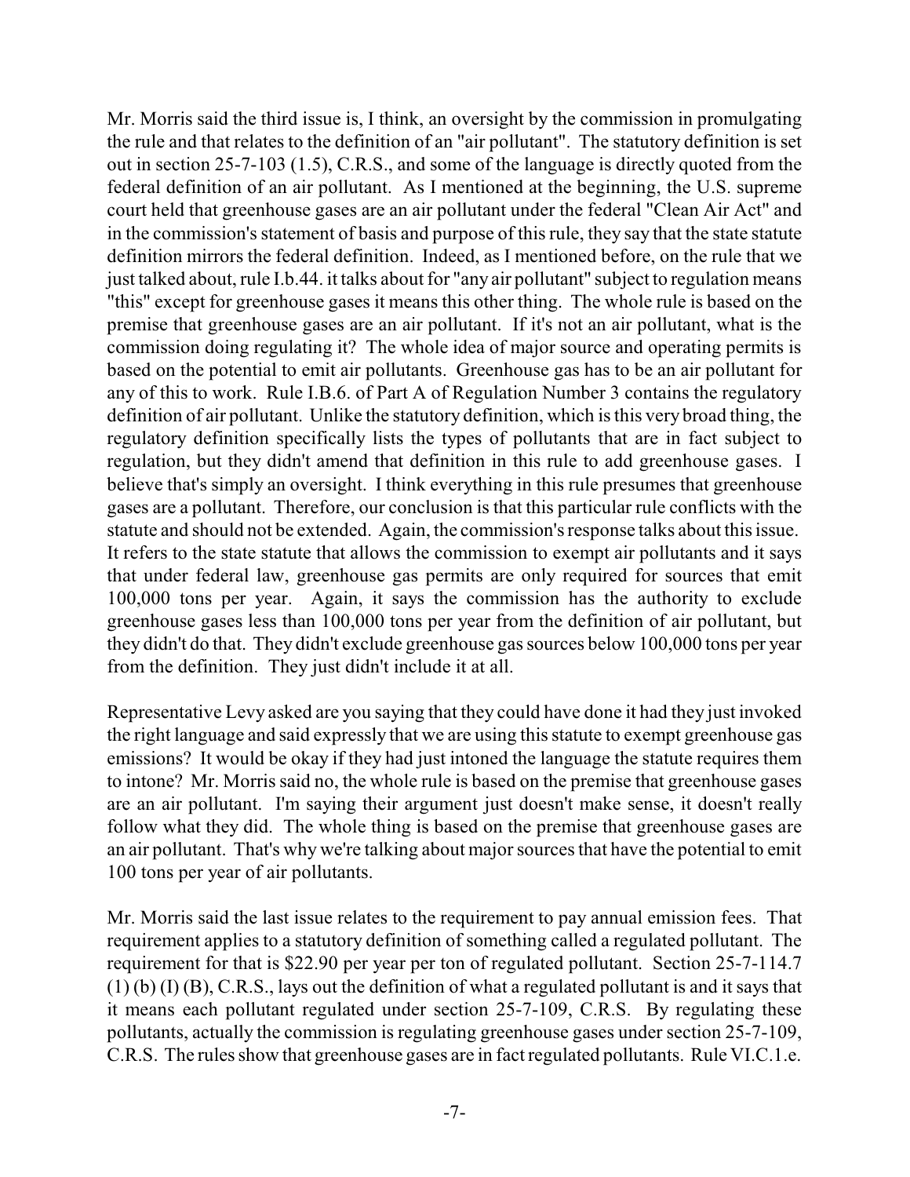Mr. Morris said the third issue is, I think, an oversight by the commission in promulgating the rule and that relates to the definition of an "air pollutant". The statutory definition is set out in section 25-7-103 (1.5), C.R.S., and some of the language is directly quoted from the federal definition of an air pollutant. As I mentioned at the beginning, the U.S. supreme court held that greenhouse gases are an air pollutant under the federal "Clean Air Act" and in the commission's statement of basis and purpose of this rule, they say that the state statute definition mirrors the federal definition. Indeed, as I mentioned before, on the rule that we just talked about, rule I.b.44. it talks about for "any air pollutant" subject to regulation means "this" except for greenhouse gases it means this other thing. The whole rule is based on the premise that greenhouse gases are an air pollutant. If it's not an air pollutant, what is the commission doing regulating it? The whole idea of major source and operating permits is based on the potential to emit air pollutants. Greenhouse gas has to be an air pollutant for any of this to work. Rule I.B.6. of Part A of Regulation Number 3 contains the regulatory definition of air pollutant. Unlike the statutory definition, which is this very broad thing, the regulatory definition specifically lists the types of pollutants that are in fact subject to regulation, but they didn't amend that definition in this rule to add greenhouse gases. I believe that's simply an oversight. I think everything in this rule presumes that greenhouse gases are a pollutant. Therefore, our conclusion is that this particular rule conflicts with the statute and should not be extended. Again, the commission's response talks about this issue. It refers to the state statute that allows the commission to exempt air pollutants and it says that under federal law, greenhouse gas permits are only required for sources that emit 100,000 tons per year. Again, it says the commission has the authority to exclude greenhouse gases less than 100,000 tons per year from the definition of air pollutant, but they didn't do that. They didn't exclude greenhouse gas sources below 100,000 tons per year from the definition. They just didn't include it at all.

Representative Levy asked are you saying that they could have done it had they just invoked the right language and said expressly that we are using this statute to exempt greenhouse gas emissions? It would be okay if they had just intoned the language the statute requires them to intone? Mr. Morris said no, the whole rule is based on the premise that greenhouse gases are an air pollutant. I'm saying their argument just doesn't make sense, it doesn't really follow what they did. The whole thing is based on the premise that greenhouse gases are an air pollutant. That's why we're talking about major sources that have the potential to emit 100 tons per year of air pollutants.

Mr. Morris said the last issue relates to the requirement to pay annual emission fees. That requirement applies to a statutory definition of something called a regulated pollutant. The requirement for that is \$22.90 per year per ton of regulated pollutant. Section 25-7-114.7 (1) (b) (I) (B), C.R.S., lays out the definition of what a regulated pollutant is and it says that it means each pollutant regulated under section 25-7-109, C.R.S. By regulating these pollutants, actually the commission is regulating greenhouse gases under section 25-7-109, C.R.S. The rules show that greenhouse gases are in fact regulated pollutants. Rule VI.C.1.e.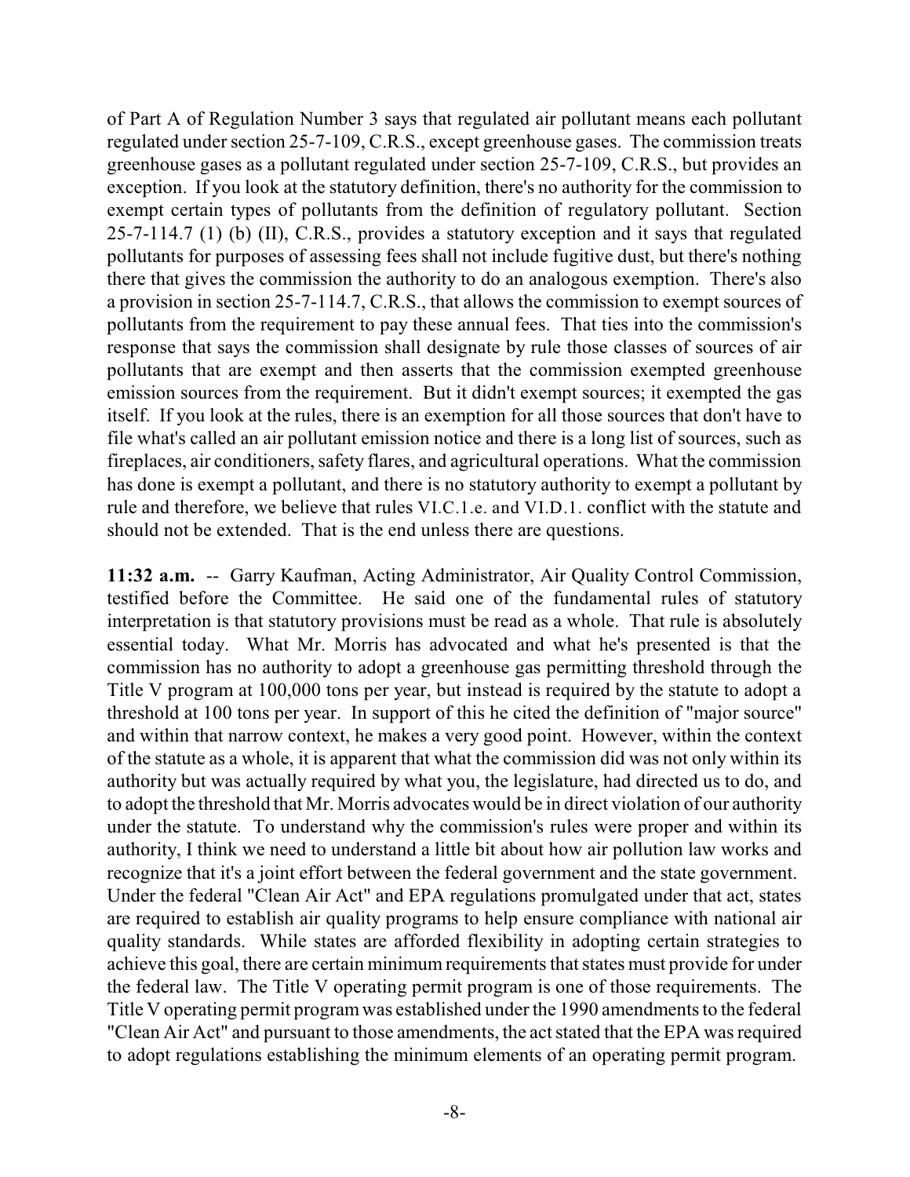of Part A of Regulation Number 3 says that regulated air pollutant means each pollutant regulated under section 25-7-109, C.R.S., except greenhouse gases. The commission treats greenhouse gases as a pollutant regulated under section 25-7-109, C.R.S., but provides an exception. If you look at the statutory definition, there's no authority for the commission to exempt certain types of pollutants from the definition of regulatory pollutant. Section 25-7-114.7 (1) (b) (II), C.R.S., provides a statutory exception and it says that regulated pollutants for purposes of assessing fees shall not include fugitive dust, but there's nothing there that gives the commission the authority to do an analogous exemption. There's also a provision in section 25-7-114.7, C.R.S., that allows the commission to exempt sources of pollutants from the requirement to pay these annual fees. That ties into the commission's response that says the commission shall designate by rule those classes of sources of air pollutants that are exempt and then asserts that the commission exempted greenhouse emission sources from the requirement. But it didn't exempt sources; it exempted the gas itself. If you look at the rules, there is an exemption for all those sources that don't have to file what's called an air pollutant emission notice and there is a long list of sources, such as fireplaces, air conditioners, safety flares, and agricultural operations. What the commission has done is exempt a pollutant, and there is no statutory authority to exempt a pollutant by rule and therefore, we believe that rules VI.C.1.e. and VI.D.1. conflict with the statute and should not be extended. That is the end unless there are questions.

**11:32 a.m.** -- Garry Kaufman, Acting Administrator, Air Quality Control Commission, testified before the Committee. He said one of the fundamental rules of statutory interpretation is that statutory provisions must be read as a whole. That rule is absolutely essential today. What Mr. Morris has advocated and what he's presented is that the commission has no authority to adopt a greenhouse gas permitting threshold through the Title V program at 100,000 tons per year, but instead is required by the statute to adopt a threshold at 100 tons per year. In support of this he cited the definition of "major source" and within that narrow context, he makes a very good point. However, within the context of the statute as a whole, it is apparent that what the commission did was not only within its authority but was actually required by what you, the legislature, had directed us to do, and to adopt the threshold that Mr. Morris advocates would be in direct violation of our authority under the statute. To understand why the commission's rules were proper and within its authority, I think we need to understand a little bit about how air pollution law works and recognize that it's a joint effort between the federal government and the state government. Under the federal "Clean Air Act" and EPA regulations promulgated under that act, states are required to establish air quality programs to help ensure compliance with national air quality standards. While states are afforded flexibility in adopting certain strategies to achieve this goal, there are certain minimum requirements that states must provide for under the federal law. The Title V operating permit program is one of those requirements. The Title V operating permit programwas established under the 1990 amendments to the federal "Clean Air Act" and pursuant to those amendments, the act stated that the EPA was required to adopt regulations establishing the minimum elements of an operating permit program.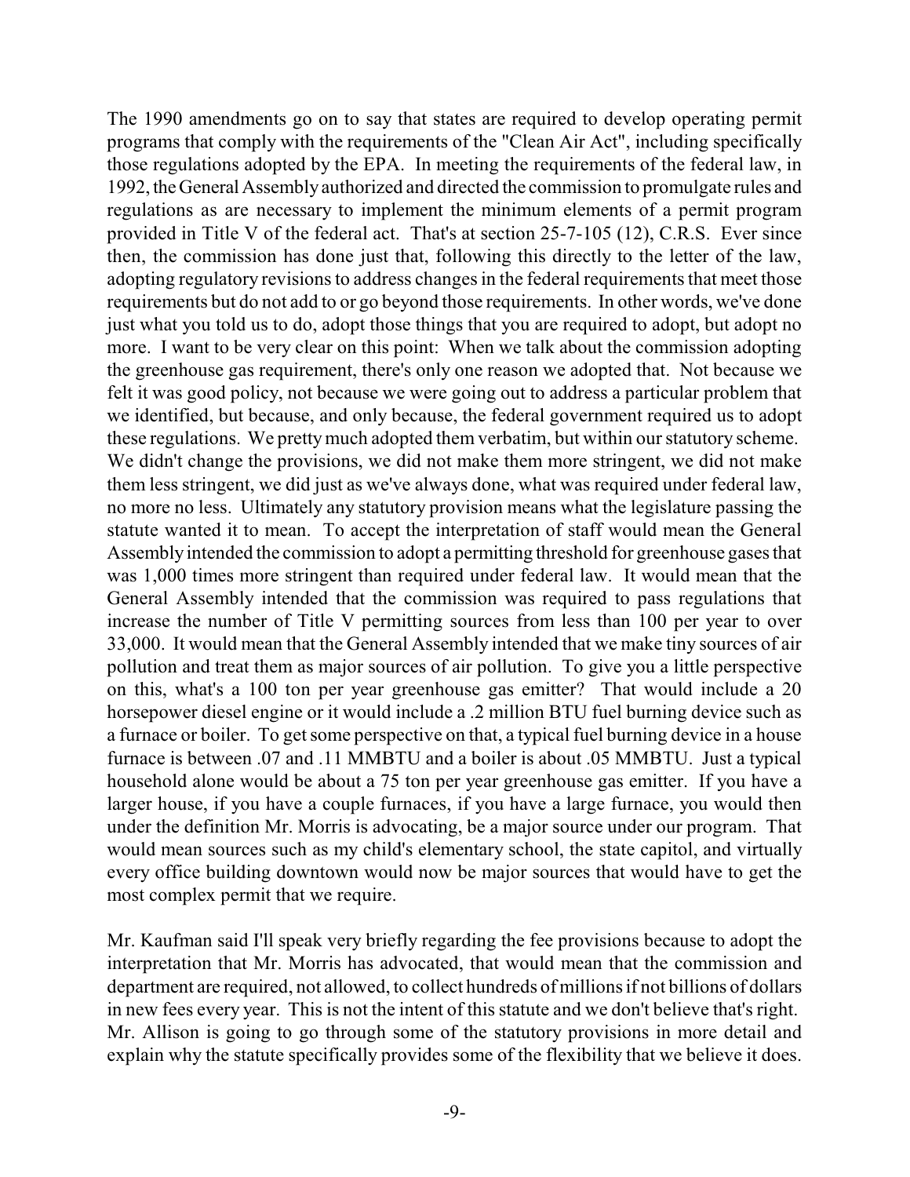The 1990 amendments go on to say that states are required to develop operating permit programs that comply with the requirements of the "Clean Air Act", including specifically those regulations adopted by the EPA. In meeting the requirements of the federal law, in 1992,theGeneralAssemblyauthorized and directed the commission to promulgate rules and regulations as are necessary to implement the minimum elements of a permit program provided in Title V of the federal act. That's at section 25-7-105 (12), C.R.S. Ever since then, the commission has done just that, following this directly to the letter of the law, adopting regulatory revisions to address changes in the federal requirements that meet those requirements but do not add to or go beyond those requirements. In other words, we've done just what you told us to do, adopt those things that you are required to adopt, but adopt no more. I want to be very clear on this point: When we talk about the commission adopting the greenhouse gas requirement, there's only one reason we adopted that. Not because we felt it was good policy, not because we were going out to address a particular problem that we identified, but because, and only because, the federal government required us to adopt these regulations. We prettymuch adopted them verbatim, but within our statutory scheme. We didn't change the provisions, we did not make them more stringent, we did not make them less stringent, we did just as we've always done, what was required under federal law, no more no less. Ultimately any statutory provision means what the legislature passing the statute wanted it to mean. To accept the interpretation of staff would mean the General Assemblyintended the commission to adopt a permitting threshold for greenhouse gases that was 1,000 times more stringent than required under federal law. It would mean that the General Assembly intended that the commission was required to pass regulations that increase the number of Title V permitting sources from less than 100 per year to over 33,000. It would mean that the General Assembly intended that we make tiny sources of air pollution and treat them as major sources of air pollution. To give you a little perspective on this, what's a 100 ton per year greenhouse gas emitter? That would include a 20 horsepower diesel engine or it would include a .2 million BTU fuel burning device such as a furnace or boiler. To get some perspective on that, a typical fuel burning device in a house furnace is between .07 and .11 MMBTU and a boiler is about .05 MMBTU. Just a typical household alone would be about a 75 ton per year greenhouse gas emitter. If you have a larger house, if you have a couple furnaces, if you have a large furnace, you would then under the definition Mr. Morris is advocating, be a major source under our program. That would mean sources such as my child's elementary school, the state capitol, and virtually every office building downtown would now be major sources that would have to get the most complex permit that we require.

Mr. Kaufman said I'll speak very briefly regarding the fee provisions because to adopt the interpretation that Mr. Morris has advocated, that would mean that the commission and department are required, not allowed, to collect hundreds of millions if not billions of dollars in new fees every year. This is not the intent of this statute and we don't believe that's right. Mr. Allison is going to go through some of the statutory provisions in more detail and explain why the statute specifically provides some of the flexibility that we believe it does.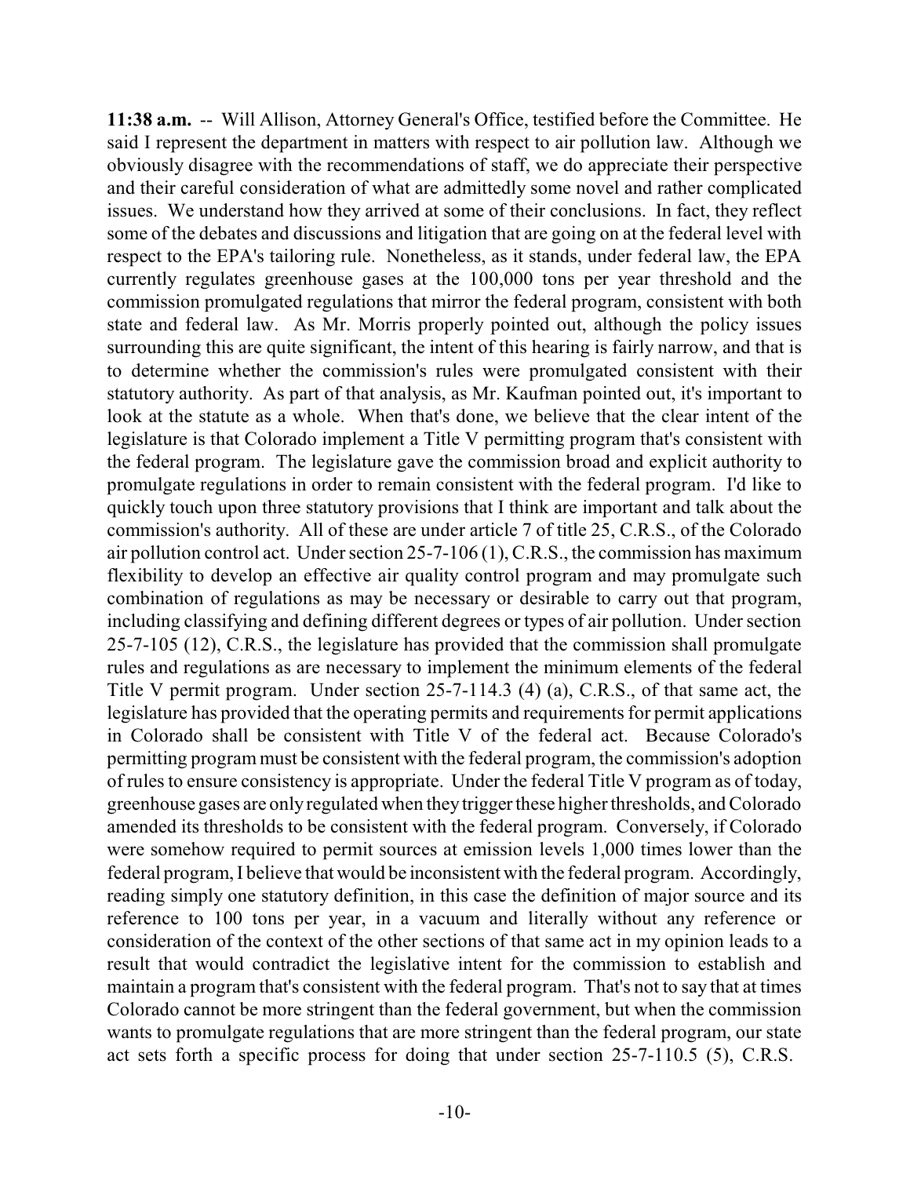**11:38 a.m.** -- Will Allison, Attorney General's Office, testified before the Committee. He said I represent the department in matters with respect to air pollution law. Although we obviously disagree with the recommendations of staff, we do appreciate their perspective and their careful consideration of what are admittedly some novel and rather complicated issues. We understand how they arrived at some of their conclusions. In fact, they reflect some of the debates and discussions and litigation that are going on at the federal level with respect to the EPA's tailoring rule. Nonetheless, as it stands, under federal law, the EPA currently regulates greenhouse gases at the 100,000 tons per year threshold and the commission promulgated regulations that mirror the federal program, consistent with both state and federal law. As Mr. Morris properly pointed out, although the policy issues surrounding this are quite significant, the intent of this hearing is fairly narrow, and that is to determine whether the commission's rules were promulgated consistent with their statutory authority. As part of that analysis, as Mr. Kaufman pointed out, it's important to look at the statute as a whole. When that's done, we believe that the clear intent of the legislature is that Colorado implement a Title V permitting program that's consistent with the federal program. The legislature gave the commission broad and explicit authority to promulgate regulations in order to remain consistent with the federal program. I'd like to quickly touch upon three statutory provisions that I think are important and talk about the commission's authority. All of these are under article 7 of title 25, C.R.S., of the Colorado air pollution control act. Under section 25-7-106 (1), C.R.S., the commission has maximum flexibility to develop an effective air quality control program and may promulgate such combination of regulations as may be necessary or desirable to carry out that program, including classifying and defining different degrees or types of air pollution. Under section 25-7-105 (12), C.R.S., the legislature has provided that the commission shall promulgate rules and regulations as are necessary to implement the minimum elements of the federal Title V permit program. Under section 25-7-114.3 (4) (a), C.R.S., of that same act, the legislature has provided that the operating permits and requirements for permit applications in Colorado shall be consistent with Title V of the federal act. Because Colorado's permitting program must be consistent with the federal program, the commission's adoption of rules to ensure consistency is appropriate. Under the federal Title V program as of today, greenhouse gases are onlyregulated when theytriggerthese higher thresholds, andColorado amended its thresholds to be consistent with the federal program. Conversely, if Colorado were somehow required to permit sources at emission levels 1,000 times lower than the federal program, I believe that would be inconsistent with the federal program. Accordingly, reading simply one statutory definition, in this case the definition of major source and its reference to 100 tons per year, in a vacuum and literally without any reference or consideration of the context of the other sections of that same act in my opinion leads to a result that would contradict the legislative intent for the commission to establish and maintain a program that's consistent with the federal program. That's not to say that at times Colorado cannot be more stringent than the federal government, but when the commission wants to promulgate regulations that are more stringent than the federal program, our state act sets forth a specific process for doing that under section 25-7-110.5 (5), C.R.S.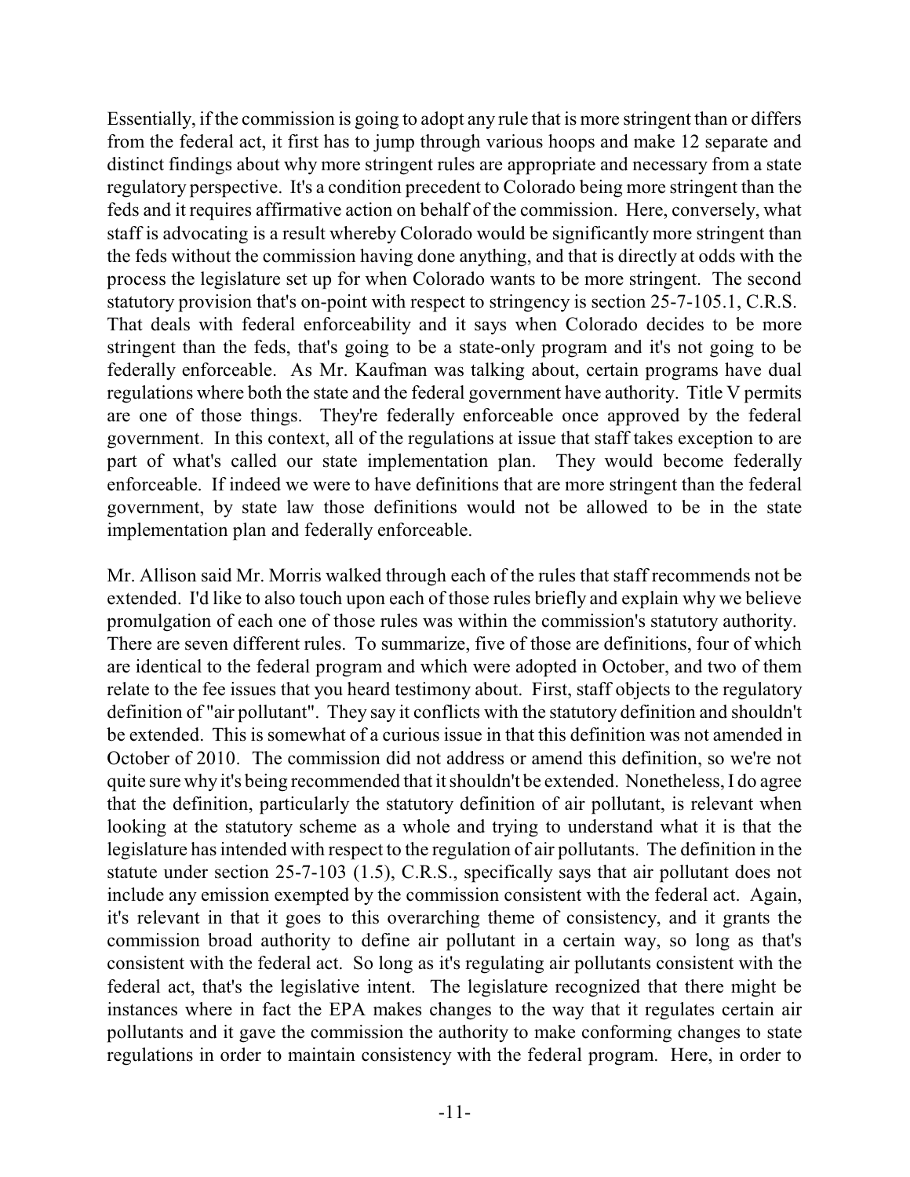Essentially, if the commission is going to adopt any rule that is more stringent than or differs from the federal act, it first has to jump through various hoops and make 12 separate and distinct findings about why more stringent rules are appropriate and necessary from a state regulatory perspective. It's a condition precedent to Colorado being more stringent than the feds and it requires affirmative action on behalf of the commission. Here, conversely, what staff is advocating is a result whereby Colorado would be significantly more stringent than the feds without the commission having done anything, and that is directly at odds with the process the legislature set up for when Colorado wants to be more stringent. The second statutory provision that's on-point with respect to stringency is section 25-7-105.1, C.R.S. That deals with federal enforceability and it says when Colorado decides to be more stringent than the feds, that's going to be a state-only program and it's not going to be federally enforceable. As Mr. Kaufman was talking about, certain programs have dual regulations where both the state and the federal government have authority. Title V permits are one of those things. They're federally enforceable once approved by the federal government. In this context, all of the regulations at issue that staff takes exception to are part of what's called our state implementation plan. They would become federally enforceable. If indeed we were to have definitions that are more stringent than the federal government, by state law those definitions would not be allowed to be in the state implementation plan and federally enforceable.

Mr. Allison said Mr. Morris walked through each of the rules that staff recommends not be extended. I'd like to also touch upon each of those rules briefly and explain why we believe promulgation of each one of those rules was within the commission's statutory authority. There are seven different rules. To summarize, five of those are definitions, four of which are identical to the federal program and which were adopted in October, and two of them relate to the fee issues that you heard testimony about. First, staff objects to the regulatory definition of "air pollutant". They say it conflicts with the statutory definition and shouldn't be extended. This is somewhat of a curious issue in that this definition was not amended in October of 2010. The commission did not address or amend this definition, so we're not quite sure why it's being recommended that it shouldn't be extended. Nonetheless, I do agree that the definition, particularly the statutory definition of air pollutant, is relevant when looking at the statutory scheme as a whole and trying to understand what it is that the legislature has intended with respect to the regulation of air pollutants. The definition in the statute under section 25-7-103 (1.5), C.R.S., specifically says that air pollutant does not include any emission exempted by the commission consistent with the federal act. Again, it's relevant in that it goes to this overarching theme of consistency, and it grants the commission broad authority to define air pollutant in a certain way, so long as that's consistent with the federal act. So long as it's regulating air pollutants consistent with the federal act, that's the legislative intent. The legislature recognized that there might be instances where in fact the EPA makes changes to the way that it regulates certain air pollutants and it gave the commission the authority to make conforming changes to state regulations in order to maintain consistency with the federal program. Here, in order to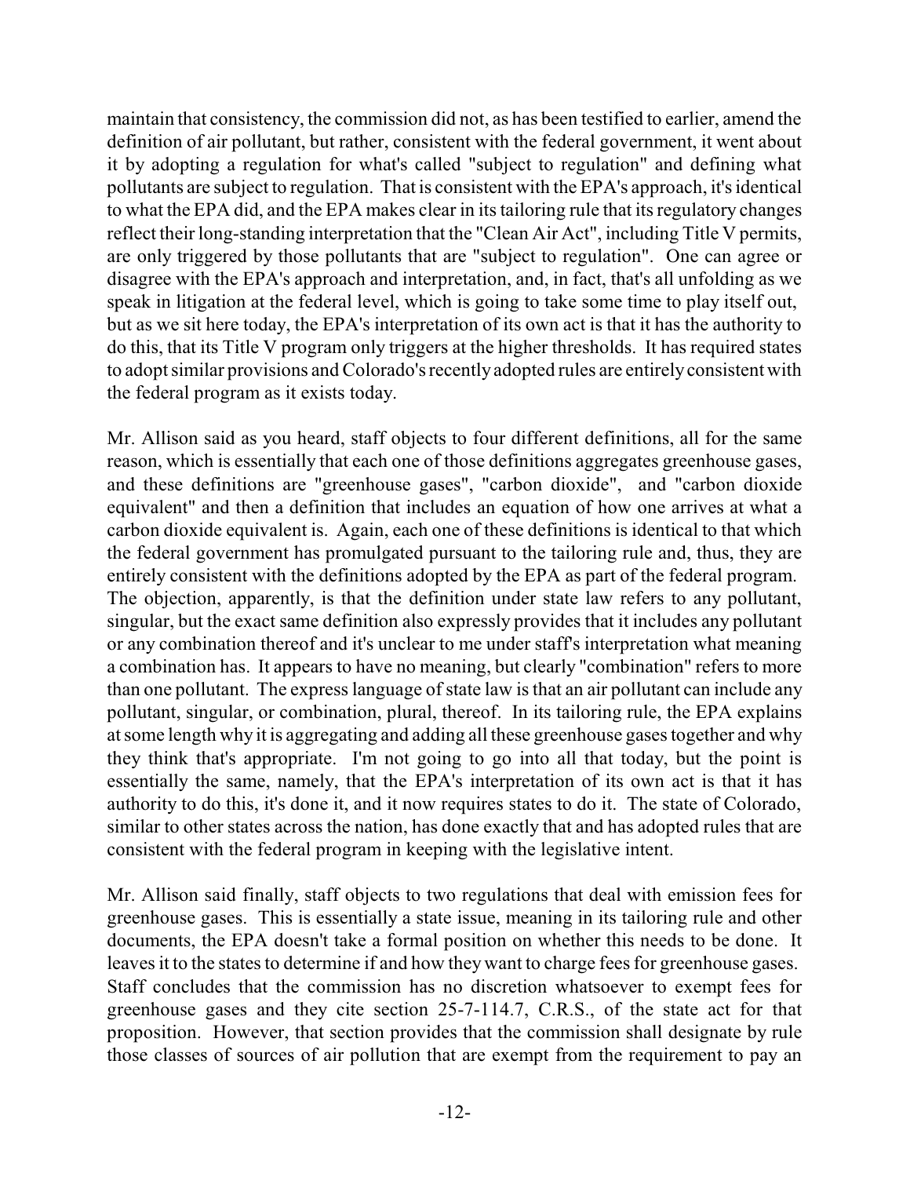maintain that consistency, the commission did not, as has been testified to earlier, amend the definition of air pollutant, but rather, consistent with the federal government, it went about it by adopting a regulation for what's called "subject to regulation" and defining what pollutants are subject to regulation. That is consistent with the EPA's approach, it's identical to what the EPA did, and the EPA makes clear in its tailoring rule that its regulatory changes reflect their long-standing interpretation that the "Clean Air Act", including Title V permits, are only triggered by those pollutants that are "subject to regulation". One can agree or disagree with the EPA's approach and interpretation, and, in fact, that's all unfolding as we speak in litigation at the federal level, which is going to take some time to play itself out, but as we sit here today, the EPA's interpretation of its own act is that it has the authority to do this, that its Title V program only triggers at the higher thresholds. It has required states to adopt similar provisions and Colorado's recently adopted rules are entirely consistent with the federal program as it exists today.

Mr. Allison said as you heard, staff objects to four different definitions, all for the same reason, which is essentially that each one of those definitions aggregates greenhouse gases, and these definitions are "greenhouse gases", "carbon dioxide", and "carbon dioxide equivalent" and then a definition that includes an equation of how one arrives at what a carbon dioxide equivalent is. Again, each one of these definitions is identical to that which the federal government has promulgated pursuant to the tailoring rule and, thus, they are entirely consistent with the definitions adopted by the EPA as part of the federal program. The objection, apparently, is that the definition under state law refers to any pollutant, singular, but the exact same definition also expressly provides that it includes any pollutant or any combination thereof and it's unclear to me under staff's interpretation what meaning a combination has. It appears to have no meaning, but clearly "combination" refers to more than one pollutant. The express language of state law is that an air pollutant can include any pollutant, singular, or combination, plural, thereof. In its tailoring rule, the EPA explains at some length why it is aggregating and adding all these greenhouse gases together and why they think that's appropriate. I'm not going to go into all that today, but the point is essentially the same, namely, that the EPA's interpretation of its own act is that it has authority to do this, it's done it, and it now requires states to do it. The state of Colorado, similar to other states across the nation, has done exactly that and has adopted rules that are consistent with the federal program in keeping with the legislative intent.

Mr. Allison said finally, staff objects to two regulations that deal with emission fees for greenhouse gases. This is essentially a state issue, meaning in its tailoring rule and other documents, the EPA doesn't take a formal position on whether this needs to be done. It leaves it to the states to determine if and how they want to charge fees for greenhouse gases. Staff concludes that the commission has no discretion whatsoever to exempt fees for greenhouse gases and they cite section 25-7-114.7, C.R.S., of the state act for that proposition. However, that section provides that the commission shall designate by rule those classes of sources of air pollution that are exempt from the requirement to pay an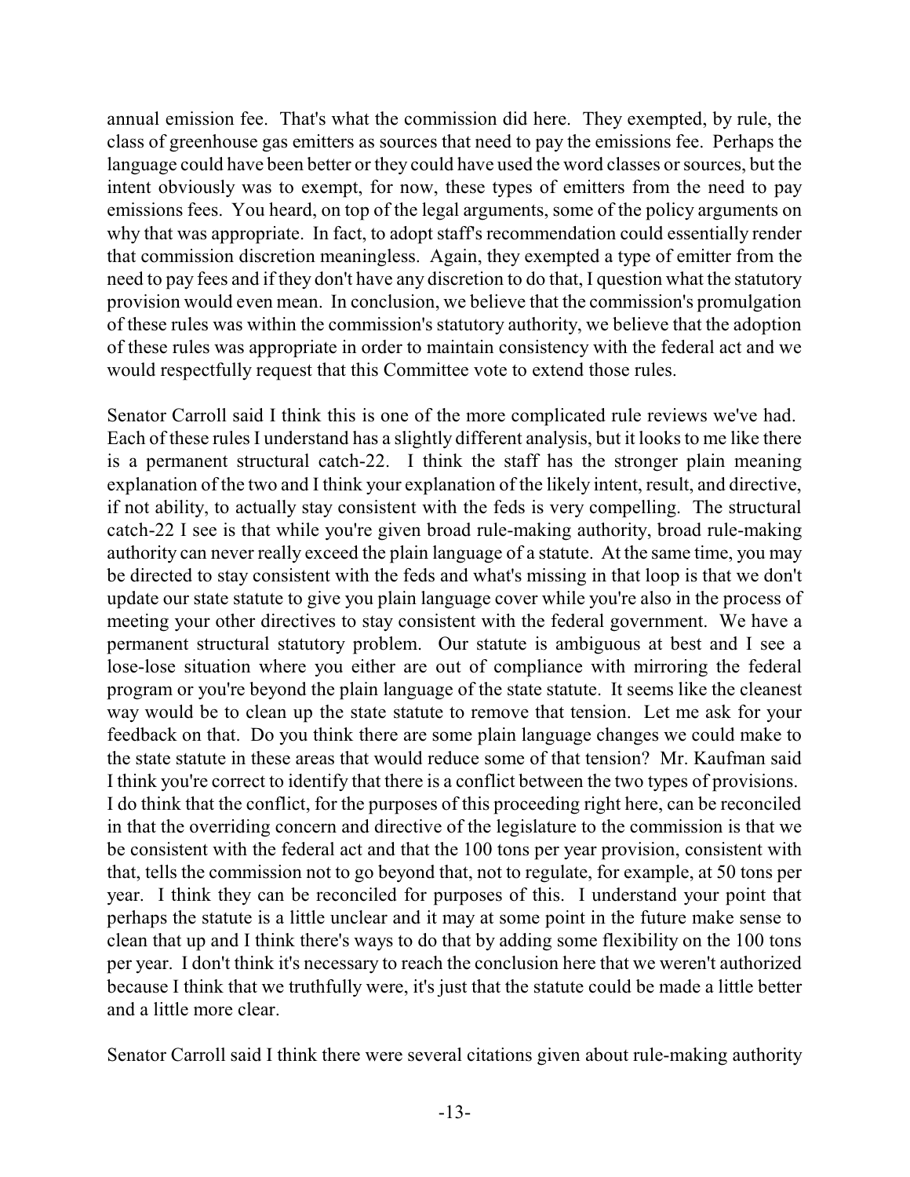annual emission fee. That's what the commission did here. They exempted, by rule, the class of greenhouse gas emitters as sources that need to pay the emissions fee. Perhaps the language could have been better or they could have used the word classes or sources, but the intent obviously was to exempt, for now, these types of emitters from the need to pay emissions fees. You heard, on top of the legal arguments, some of the policy arguments on why that was appropriate. In fact, to adopt staff's recommendation could essentially render that commission discretion meaningless. Again, they exempted a type of emitter from the need to pay fees and if they don't have any discretion to do that, I question what the statutory provision would even mean. In conclusion, we believe that the commission's promulgation of these rules was within the commission's statutory authority, we believe that the adoption of these rules was appropriate in order to maintain consistency with the federal act and we would respectfully request that this Committee vote to extend those rules.

Senator Carroll said I think this is one of the more complicated rule reviews we've had. Each of these rules I understand has a slightly different analysis, but it looks to me like there is a permanent structural catch-22. I think the staff has the stronger plain meaning explanation of the two and I think your explanation of the likely intent, result, and directive, if not ability, to actually stay consistent with the feds is very compelling. The structural catch-22 I see is that while you're given broad rule-making authority, broad rule-making authority can never really exceed the plain language of a statute. At the same time, you may be directed to stay consistent with the feds and what's missing in that loop is that we don't update our state statute to give you plain language cover while you're also in the process of meeting your other directives to stay consistent with the federal government. We have a permanent structural statutory problem. Our statute is ambiguous at best and I see a lose-lose situation where you either are out of compliance with mirroring the federal program or you're beyond the plain language of the state statute. It seems like the cleanest way would be to clean up the state statute to remove that tension. Let me ask for your feedback on that. Do you think there are some plain language changes we could make to the state statute in these areas that would reduce some of that tension? Mr. Kaufman said I think you're correct to identify that there is a conflict between the two types of provisions. I do think that the conflict, for the purposes of this proceeding right here, can be reconciled in that the overriding concern and directive of the legislature to the commission is that we be consistent with the federal act and that the 100 tons per year provision, consistent with that, tells the commission not to go beyond that, not to regulate, for example, at 50 tons per year. I think they can be reconciled for purposes of this. I understand your point that perhaps the statute is a little unclear and it may at some point in the future make sense to clean that up and I think there's ways to do that by adding some flexibility on the 100 tons per year. I don't think it's necessary to reach the conclusion here that we weren't authorized because I think that we truthfully were, it's just that the statute could be made a little better and a little more clear.

Senator Carroll said I think there were several citations given about rule-making authority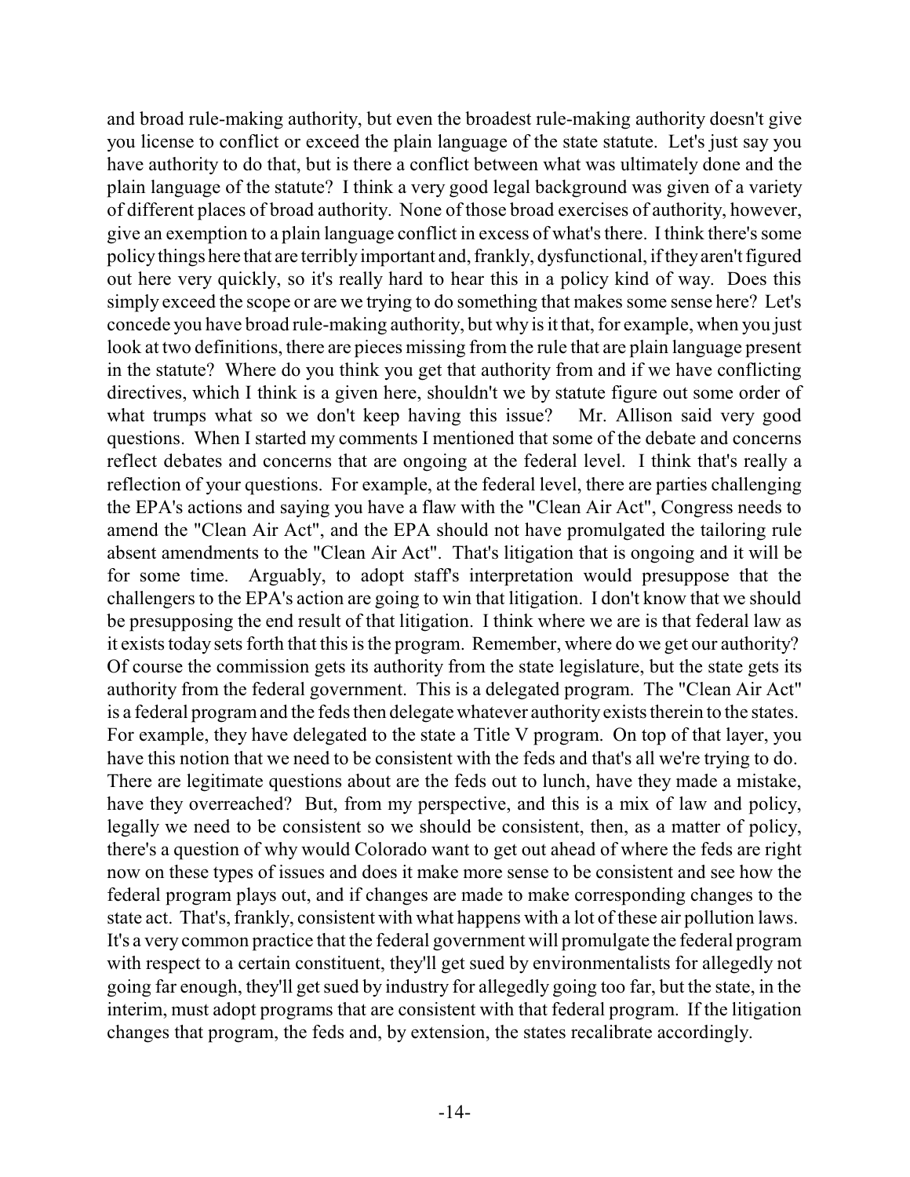and broad rule-making authority, but even the broadest rule-making authority doesn't give you license to conflict or exceed the plain language of the state statute. Let's just say you have authority to do that, but is there a conflict between what was ultimately done and the plain language of the statute? I think a very good legal background was given of a variety of different places of broad authority. None of those broad exercises of authority, however, give an exemption to a plain language conflict in excess of what's there. I think there's some policythings here that are terriblyimportant and, frankly, dysfunctional, iftheyaren't figured out here very quickly, so it's really hard to hear this in a policy kind of way. Does this simply exceed the scope or are we trying to do something that makes some sense here? Let's concede you have broad rule-making authority, but why is it that, for example, when you just look at two definitions, there are pieces missing from the rule that are plain language present in the statute? Where do you think you get that authority from and if we have conflicting directives, which I think is a given here, shouldn't we by statute figure out some order of what trumps what so we don't keep having this issue? Mr. Allison said very good questions. When I started my comments I mentioned that some of the debate and concerns reflect debates and concerns that are ongoing at the federal level. I think that's really a reflection of your questions. For example, at the federal level, there are parties challenging the EPA's actions and saying you have a flaw with the "Clean Air Act", Congress needs to amend the "Clean Air Act", and the EPA should not have promulgated the tailoring rule absent amendments to the "Clean Air Act". That's litigation that is ongoing and it will be for some time. Arguably, to adopt staff's interpretation would presuppose that the challengers to the EPA's action are going to win that litigation. I don't know that we should be presupposing the end result of that litigation. I think where we are is that federal law as it exists today sets forth that this is the program. Remember, where do we get our authority? Of course the commission gets its authority from the state legislature, but the state gets its authority from the federal government. This is a delegated program. The "Clean Air Act" is a federal program and the feds then delegate whatever authority exists therein to the states. For example, they have delegated to the state a Title V program. On top of that layer, you have this notion that we need to be consistent with the feds and that's all we're trying to do. There are legitimate questions about are the feds out to lunch, have they made a mistake, have they overreached? But, from my perspective, and this is a mix of law and policy, legally we need to be consistent so we should be consistent, then, as a matter of policy, there's a question of why would Colorado want to get out ahead of where the feds are right now on these types of issues and does it make more sense to be consistent and see how the federal program plays out, and if changes are made to make corresponding changes to the state act. That's, frankly, consistent with what happens with a lot of these air pollution laws. It's a very common practice that the federal government will promulgate the federal program with respect to a certain constituent, they'll get sued by environmentalists for allegedly not going far enough, they'll get sued by industry for allegedly going too far, but the state, in the interim, must adopt programs that are consistent with that federal program. If the litigation changes that program, the feds and, by extension, the states recalibrate accordingly.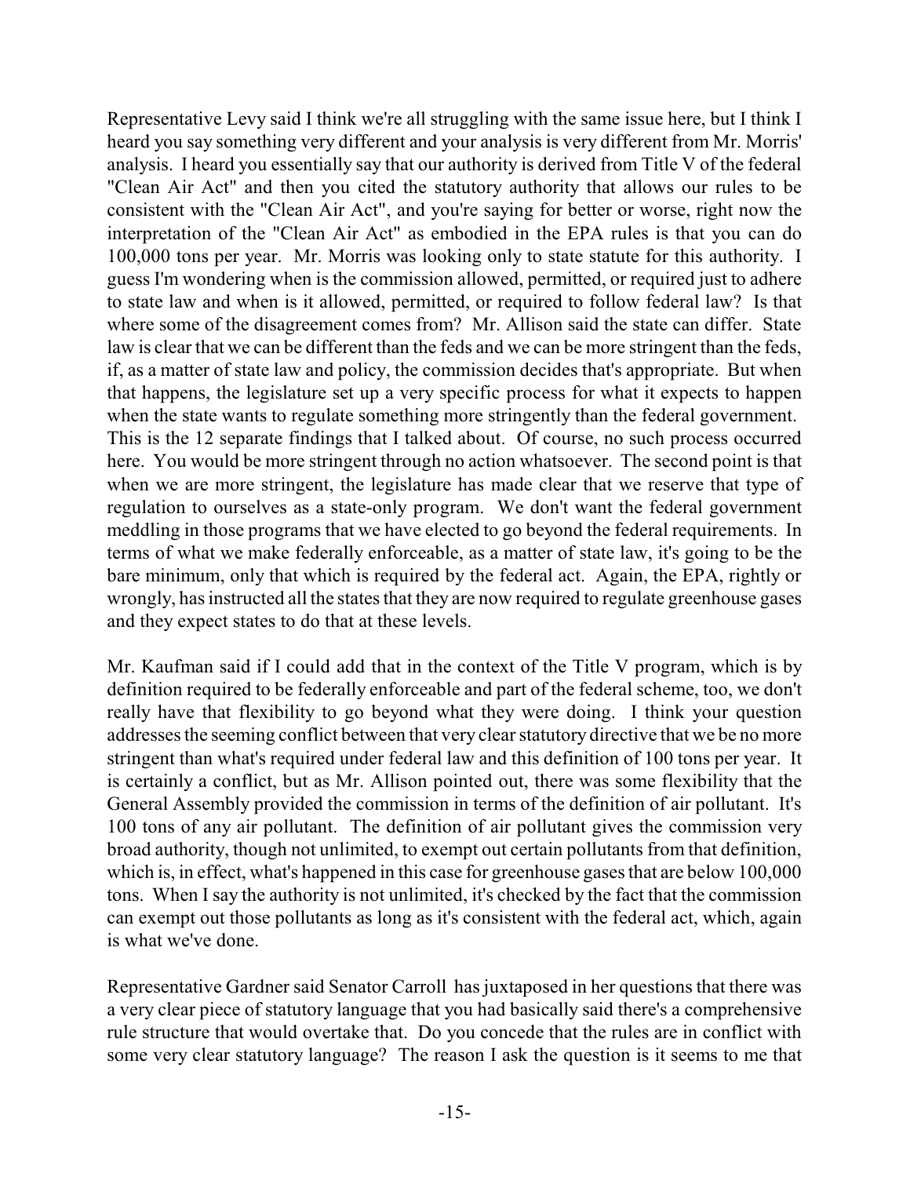Representative Levy said I think we're all struggling with the same issue here, but I think I heard you say something very different and your analysis is very different from Mr. Morris' analysis. I heard you essentially say that our authority is derived from Title V of the federal "Clean Air Act" and then you cited the statutory authority that allows our rules to be consistent with the "Clean Air Act", and you're saying for better or worse, right now the interpretation of the "Clean Air Act" as embodied in the EPA rules is that you can do 100,000 tons per year. Mr. Morris was looking only to state statute for this authority. I guess I'm wondering when is the commission allowed, permitted, or required just to adhere to state law and when is it allowed, permitted, or required to follow federal law? Is that where some of the disagreement comes from? Mr. Allison said the state can differ. State law is clear that we can be different than the feds and we can be more stringent than the feds, if, as a matter of state law and policy, the commission decides that's appropriate. But when that happens, the legislature set up a very specific process for what it expects to happen when the state wants to regulate something more stringently than the federal government. This is the 12 separate findings that I talked about. Of course, no such process occurred here. You would be more stringent through no action whatsoever. The second point is that when we are more stringent, the legislature has made clear that we reserve that type of regulation to ourselves as a state-only program. We don't want the federal government meddling in those programs that we have elected to go beyond the federal requirements. In terms of what we make federally enforceable, as a matter of state law, it's going to be the bare minimum, only that which is required by the federal act. Again, the EPA, rightly or wrongly, has instructed all the states that they are now required to regulate greenhouse gases and they expect states to do that at these levels.

Mr. Kaufman said if I could add that in the context of the Title V program, which is by definition required to be federally enforceable and part of the federal scheme, too, we don't really have that flexibility to go beyond what they were doing. I think your question addresses the seeming conflict between that very clear statutory directive that we be no more stringent than what's required under federal law and this definition of 100 tons per year. It is certainly a conflict, but as Mr. Allison pointed out, there was some flexibility that the General Assembly provided the commission in terms of the definition of air pollutant. It's 100 tons of any air pollutant. The definition of air pollutant gives the commission very broad authority, though not unlimited, to exempt out certain pollutants from that definition, which is, in effect, what's happened in this case for greenhouse gases that are below 100,000 tons. When I say the authority is not unlimited, it's checked by the fact that the commission can exempt out those pollutants as long as it's consistent with the federal act, which, again is what we've done.

Representative Gardner said Senator Carroll has juxtaposed in her questions that there was a very clear piece of statutory language that you had basically said there's a comprehensive rule structure that would overtake that. Do you concede that the rules are in conflict with some very clear statutory language? The reason I ask the question is it seems to me that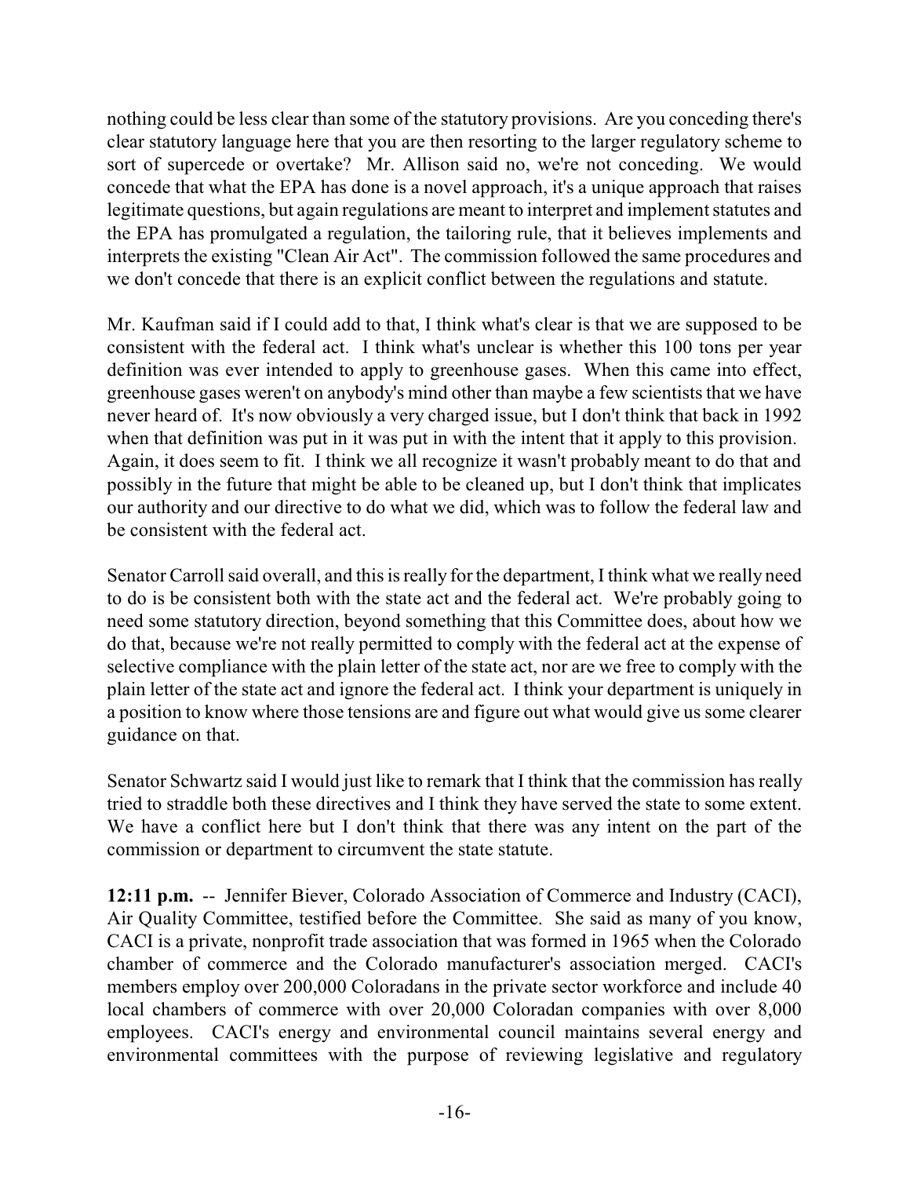nothing could be less clear than some of the statutory provisions. Are you conceding there's clear statutory language here that you are then resorting to the larger regulatory scheme to sort of supercede or overtake? Mr. Allison said no, we're not conceding. We would concede that what the EPA has done is a novel approach, it's a unique approach that raises legitimate questions, but again regulations are meant to interpret and implement statutes and the EPA has promulgated a regulation, the tailoring rule, that it believes implements and interprets the existing "Clean Air Act". The commission followed the same procedures and we don't concede that there is an explicit conflict between the regulations and statute.

Mr. Kaufman said if I could add to that, I think what's clear is that we are supposed to be consistent with the federal act. I think what's unclear is whether this 100 tons per year definition was ever intended to apply to greenhouse gases. When this came into effect, greenhouse gases weren't on anybody's mind other than maybe a few scientists that we have never heard of. It's now obviously a very charged issue, but I don't think that back in 1992 when that definition was put in it was put in with the intent that it apply to this provision. Again, it does seem to fit. I think we all recognize it wasn't probably meant to do that and possibly in the future that might be able to be cleaned up, but I don't think that implicates our authority and our directive to do what we did, which was to follow the federal law and be consistent with the federal act.

Senator Carroll said overall, and this is really for the department, I think what we really need to do is be consistent both with the state act and the federal act. We're probably going to need some statutory direction, beyond something that this Committee does, about how we do that, because we're not really permitted to comply with the federal act at the expense of selective compliance with the plain letter of the state act, nor are we free to comply with the plain letter of the state act and ignore the federal act. I think your department is uniquely in a position to know where those tensions are and figure out what would give us some clearer guidance on that.

Senator Schwartz said I would just like to remark that I think that the commission has really tried to straddle both these directives and I think they have served the state to some extent. We have a conflict here but I don't think that there was any intent on the part of the commission or department to circumvent the state statute.

**12:11 p.m.** -- Jennifer Biever, Colorado Association of Commerce and Industry (CACI), Air Quality Committee, testified before the Committee. She said as many of you know, CACI is a private, nonprofit trade association that was formed in 1965 when the Colorado chamber of commerce and the Colorado manufacturer's association merged. CACI's members employ over 200,000 Coloradans in the private sector workforce and include 40 local chambers of commerce with over 20,000 Coloradan companies with over 8,000 employees. CACI's energy and environmental council maintains several energy and environmental committees with the purpose of reviewing legislative and regulatory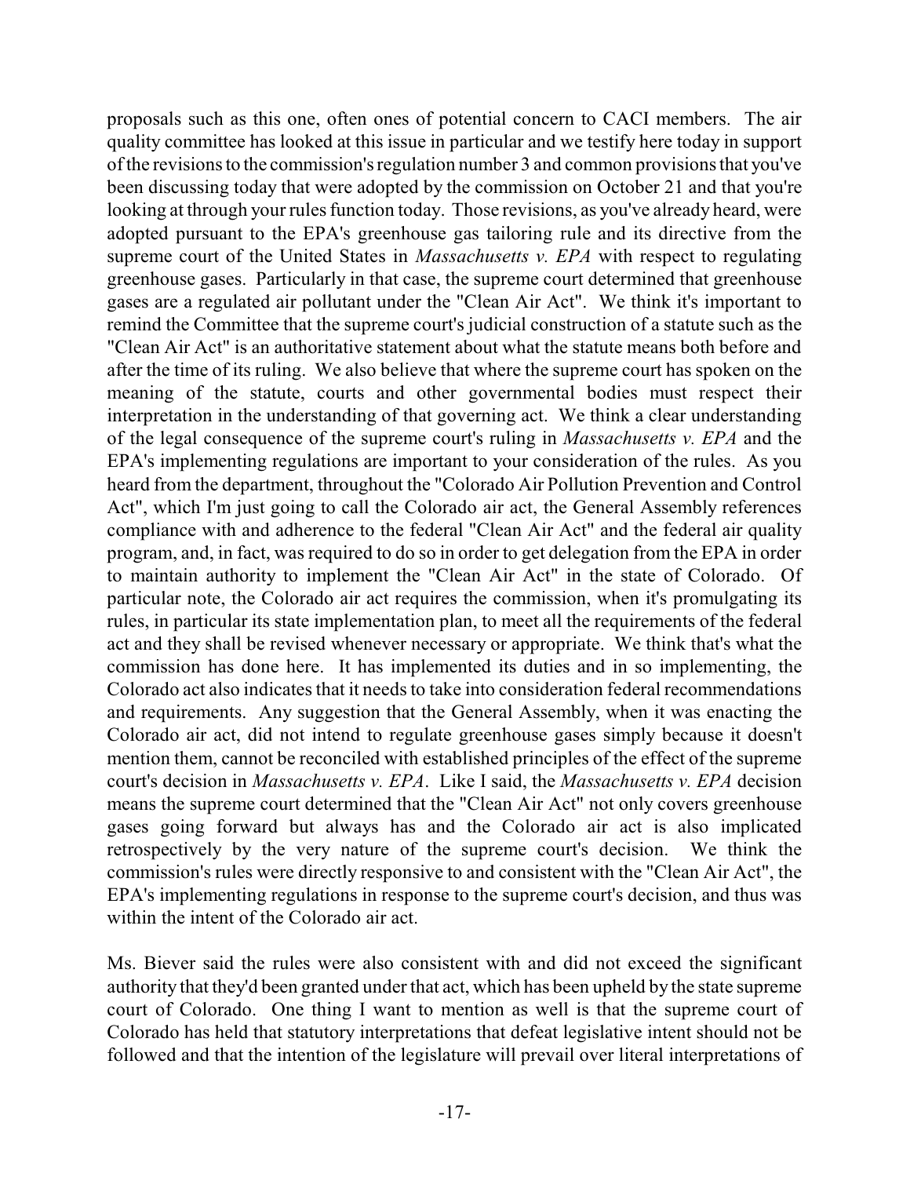proposals such as this one, often ones of potential concern to CACI members. The air quality committee has looked at this issue in particular and we testify here today in support ofthe revisions to the commission's regulation number 3 and common provisions that you've been discussing today that were adopted by the commission on October 21 and that you're looking at through your rules function today. Those revisions, as you've already heard, were adopted pursuant to the EPA's greenhouse gas tailoring rule and its directive from the supreme court of the United States in *Massachusetts v. EPA* with respect to regulating greenhouse gases. Particularly in that case, the supreme court determined that greenhouse gases are a regulated air pollutant under the "Clean Air Act". We think it's important to remind the Committee that the supreme court's judicial construction of a statute such as the "Clean Air Act" is an authoritative statement about what the statute means both before and after the time of its ruling. We also believe that where the supreme court has spoken on the meaning of the statute, courts and other governmental bodies must respect their interpretation in the understanding of that governing act. We think a clear understanding of the legal consequence of the supreme court's ruling in *Massachusetts v. EPA* and the EPA's implementing regulations are important to your consideration of the rules. As you heard from the department, throughout the "Colorado Air Pollution Prevention and Control Act", which I'm just going to call the Colorado air act, the General Assembly references compliance with and adherence to the federal "Clean Air Act" and the federal air quality program, and, in fact, was required to do so in order to get delegation from the EPA in order to maintain authority to implement the "Clean Air Act" in the state of Colorado. Of particular note, the Colorado air act requires the commission, when it's promulgating its rules, in particular its state implementation plan, to meet all the requirements of the federal act and they shall be revised whenever necessary or appropriate. We think that's what the commission has done here. It has implemented its duties and in so implementing, the Colorado act also indicates that it needs to take into consideration federal recommendations and requirements. Any suggestion that the General Assembly, when it was enacting the Colorado air act, did not intend to regulate greenhouse gases simply because it doesn't mention them, cannot be reconciled with established principles of the effect of the supreme court's decision in *Massachusetts v. EPA*. Like I said, the *Massachusetts v. EPA* decision means the supreme court determined that the "Clean Air Act" not only covers greenhouse gases going forward but always has and the Colorado air act is also implicated retrospectively by the very nature of the supreme court's decision. We think the commission's rules were directly responsive to and consistent with the "Clean Air Act", the EPA's implementing regulations in response to the supreme court's decision, and thus was within the intent of the Colorado air act.

Ms. Biever said the rules were also consistent with and did not exceed the significant authority that they'd been granted under that act, which has been upheld by the state supreme court of Colorado. One thing I want to mention as well is that the supreme court of Colorado has held that statutory interpretations that defeat legislative intent should not be followed and that the intention of the legislature will prevail over literal interpretations of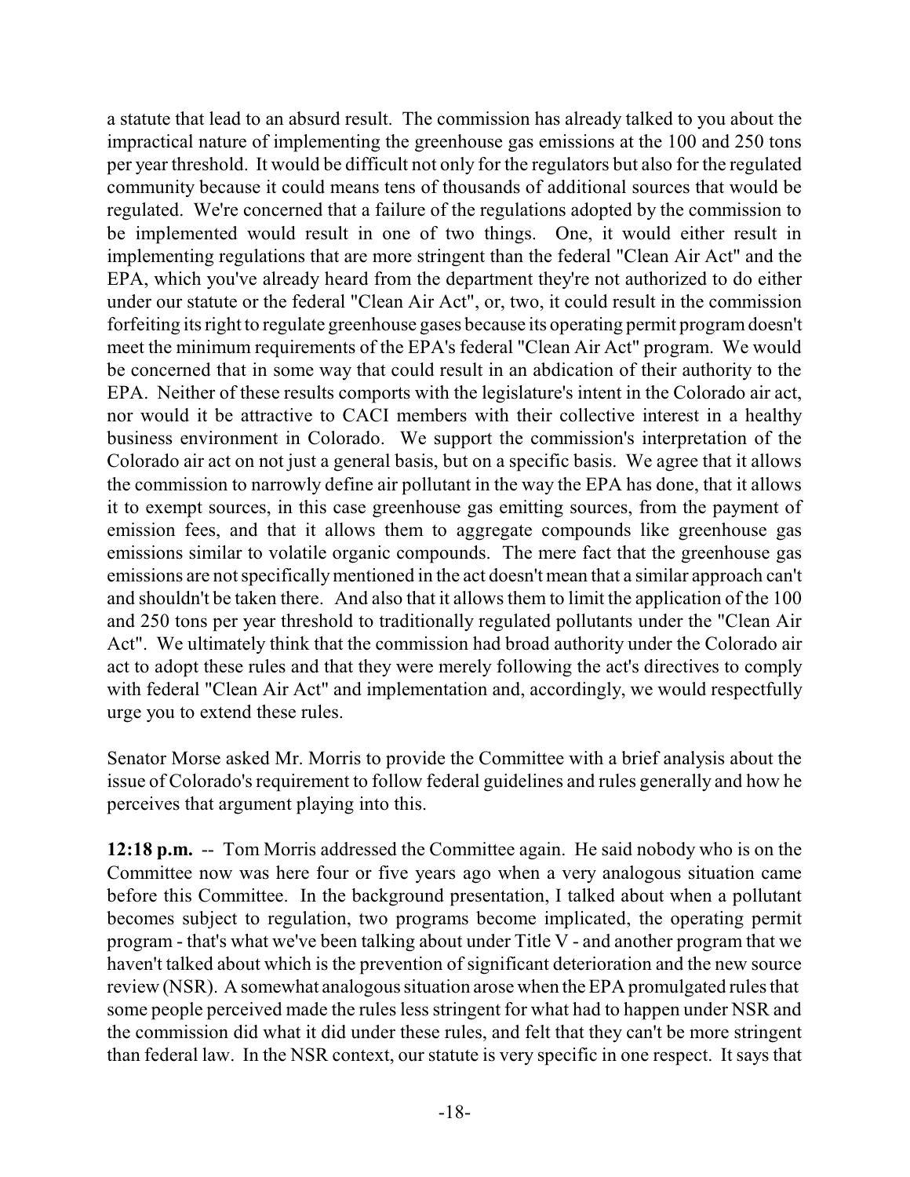a statute that lead to an absurd result. The commission has already talked to you about the impractical nature of implementing the greenhouse gas emissions at the 100 and 250 tons per year threshold. It would be difficult not only for the regulators but also for the regulated community because it could means tens of thousands of additional sources that would be regulated. We're concerned that a failure of the regulations adopted by the commission to be implemented would result in one of two things. One, it would either result in implementing regulations that are more stringent than the federal "Clean Air Act" and the EPA, which you've already heard from the department they're not authorized to do either under our statute or the federal "Clean Air Act", or, two, it could result in the commission forfeiting its right to regulate greenhouse gases because its operating permit programdoesn't meet the minimum requirements of the EPA's federal "Clean Air Act" program. We would be concerned that in some way that could result in an abdication of their authority to the EPA. Neither of these results comports with the legislature's intent in the Colorado air act, nor would it be attractive to CACI members with their collective interest in a healthy business environment in Colorado. We support the commission's interpretation of the Colorado air act on not just a general basis, but on a specific basis. We agree that it allows the commission to narrowly define air pollutant in the way the EPA has done, that it allows it to exempt sources, in this case greenhouse gas emitting sources, from the payment of emission fees, and that it allows them to aggregate compounds like greenhouse gas emissions similar to volatile organic compounds. The mere fact that the greenhouse gas emissions are not specificallymentioned in the act doesn't mean that a similar approach can't and shouldn't be taken there. And also that it allows them to limit the application of the 100 and 250 tons per year threshold to traditionally regulated pollutants under the "Clean Air Act". We ultimately think that the commission had broad authority under the Colorado air act to adopt these rules and that they were merely following the act's directives to comply with federal "Clean Air Act" and implementation and, accordingly, we would respectfully urge you to extend these rules.

Senator Morse asked Mr. Morris to provide the Committee with a brief analysis about the issue of Colorado's requirement to follow federal guidelines and rules generally and how he perceives that argument playing into this.

**12:18 p.m.** -- Tom Morris addressed the Committee again. He said nobody who is on the Committee now was here four or five years ago when a very analogous situation came before this Committee. In the background presentation, I talked about when a pollutant becomes subject to regulation, two programs become implicated, the operating permit program - that's what we've been talking about under Title V - and another program that we haven't talked about which is the prevention of significant deterioration and the new source review (NSR). A somewhat analogous situation arose when the EPA promulgated rules that some people perceived made the rules less stringent for what had to happen under NSR and the commission did what it did under these rules, and felt that they can't be more stringent than federal law. In the NSR context, our statute is very specific in one respect. It says that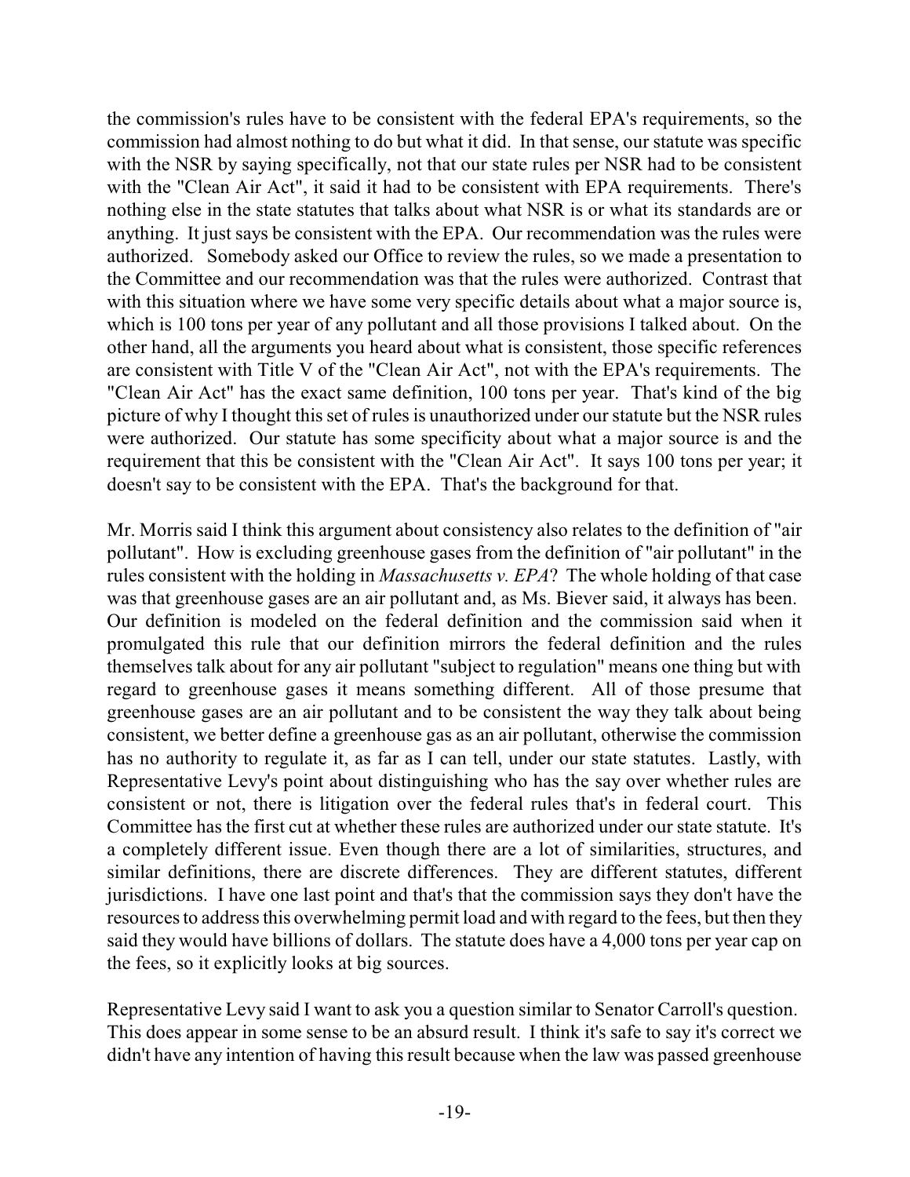the commission's rules have to be consistent with the federal EPA's requirements, so the commission had almost nothing to do but what it did. In that sense, our statute was specific with the NSR by saying specifically, not that our state rules per NSR had to be consistent with the "Clean Air Act", it said it had to be consistent with EPA requirements. There's nothing else in the state statutes that talks about what NSR is or what its standards are or anything. It just says be consistent with the EPA. Our recommendation was the rules were authorized. Somebody asked our Office to review the rules, so we made a presentation to the Committee and our recommendation was that the rules were authorized. Contrast that with this situation where we have some very specific details about what a major source is, which is 100 tons per year of any pollutant and all those provisions I talked about. On the other hand, all the arguments you heard about what is consistent, those specific references are consistent with Title V of the "Clean Air Act", not with the EPA's requirements. The "Clean Air Act" has the exact same definition, 100 tons per year. That's kind of the big picture of why I thought this set of rules is unauthorized under our statute but the NSR rules were authorized. Our statute has some specificity about what a major source is and the requirement that this be consistent with the "Clean Air Act". It says 100 tons per year; it doesn't say to be consistent with the EPA. That's the background for that.

Mr. Morris said I think this argument about consistency also relates to the definition of "air pollutant". How is excluding greenhouse gases from the definition of "air pollutant" in the rules consistent with the holding in *Massachusetts v. EPA*? The whole holding of that case was that greenhouse gases are an air pollutant and, as Ms. Biever said, it always has been. Our definition is modeled on the federal definition and the commission said when it promulgated this rule that our definition mirrors the federal definition and the rules themselves talk about for any air pollutant "subject to regulation" means one thing but with regard to greenhouse gases it means something different. All of those presume that greenhouse gases are an air pollutant and to be consistent the way they talk about being consistent, we better define a greenhouse gas as an air pollutant, otherwise the commission has no authority to regulate it, as far as I can tell, under our state statutes. Lastly, with Representative Levy's point about distinguishing who has the say over whether rules are consistent or not, there is litigation over the federal rules that's in federal court. This Committee has the first cut at whether these rules are authorized under our state statute. It's a completely different issue. Even though there are a lot of similarities, structures, and similar definitions, there are discrete differences. They are different statutes, different jurisdictions. I have one last point and that's that the commission says they don't have the resources to address this overwhelming permit load and with regard to the fees, but then they said they would have billions of dollars. The statute does have a 4,000 tons per year cap on the fees, so it explicitly looks at big sources.

Representative Levy said I want to ask you a question similar to Senator Carroll's question. This does appear in some sense to be an absurd result. I think it's safe to say it's correct we didn't have any intention of having this result because when the law was passed greenhouse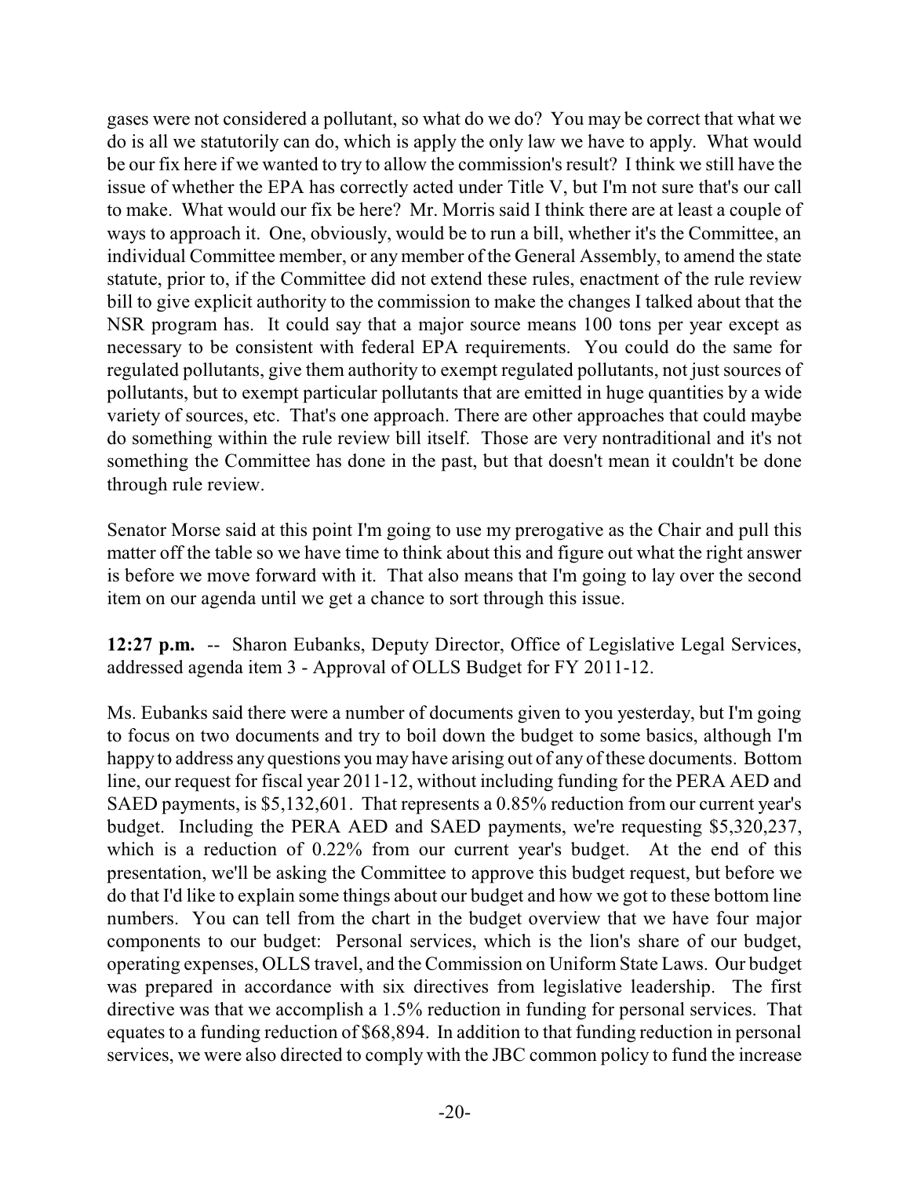gases were not considered a pollutant, so what do we do? You may be correct that what we do is all we statutorily can do, which is apply the only law we have to apply. What would be our fix here if we wanted to try to allow the commission's result? I think we still have the issue of whether the EPA has correctly acted under Title V, but I'm not sure that's our call to make. What would our fix be here? Mr. Morris said I think there are at least a couple of ways to approach it. One, obviously, would be to run a bill, whether it's the Committee, an individual Committee member, or anymember of the General Assembly, to amend the state statute, prior to, if the Committee did not extend these rules, enactment of the rule review bill to give explicit authority to the commission to make the changes I talked about that the NSR program has. It could say that a major source means 100 tons per year except as necessary to be consistent with federal EPA requirements. You could do the same for regulated pollutants, give them authority to exempt regulated pollutants, not just sources of pollutants, but to exempt particular pollutants that are emitted in huge quantities by a wide variety of sources, etc. That's one approach. There are other approaches that could maybe do something within the rule review bill itself. Those are very nontraditional and it's not something the Committee has done in the past, but that doesn't mean it couldn't be done through rule review.

Senator Morse said at this point I'm going to use my prerogative as the Chair and pull this matter off the table so we have time to think about this and figure out what the right answer is before we move forward with it. That also means that I'm going to lay over the second item on our agenda until we get a chance to sort through this issue.

**12:27 p.m.** -- Sharon Eubanks, Deputy Director, Office of Legislative Legal Services, addressed agenda item 3 - Approval of OLLS Budget for FY 2011-12.

Ms. Eubanks said there were a number of documents given to you yesterday, but I'm going to focus on two documents and try to boil down the budget to some basics, although I'm happy to address any questions you may have arising out of any of these documents. Bottom line, our request for fiscal year 2011-12, without including funding for the PERA AED and SAED payments, is \$5,132,601. That represents a 0.85% reduction from our current year's budget. Including the PERA AED and SAED payments, we're requesting \$5,320,237, which is a reduction of 0.22% from our current year's budget. At the end of this presentation, we'll be asking the Committee to approve this budget request, but before we do that I'd like to explain some things about our budget and how we got to these bottom line numbers. You can tell from the chart in the budget overview that we have four major components to our budget: Personal services, which is the lion's share of our budget, operating expenses, OLLS travel, and the Commission on Uniform State Laws. Our budget was prepared in accordance with six directives from legislative leadership. The first directive was that we accomplish a 1.5% reduction in funding for personal services. That equates to a funding reduction of \$68,894. In addition to that funding reduction in personal services, we were also directed to comply with the JBC common policy to fund the increase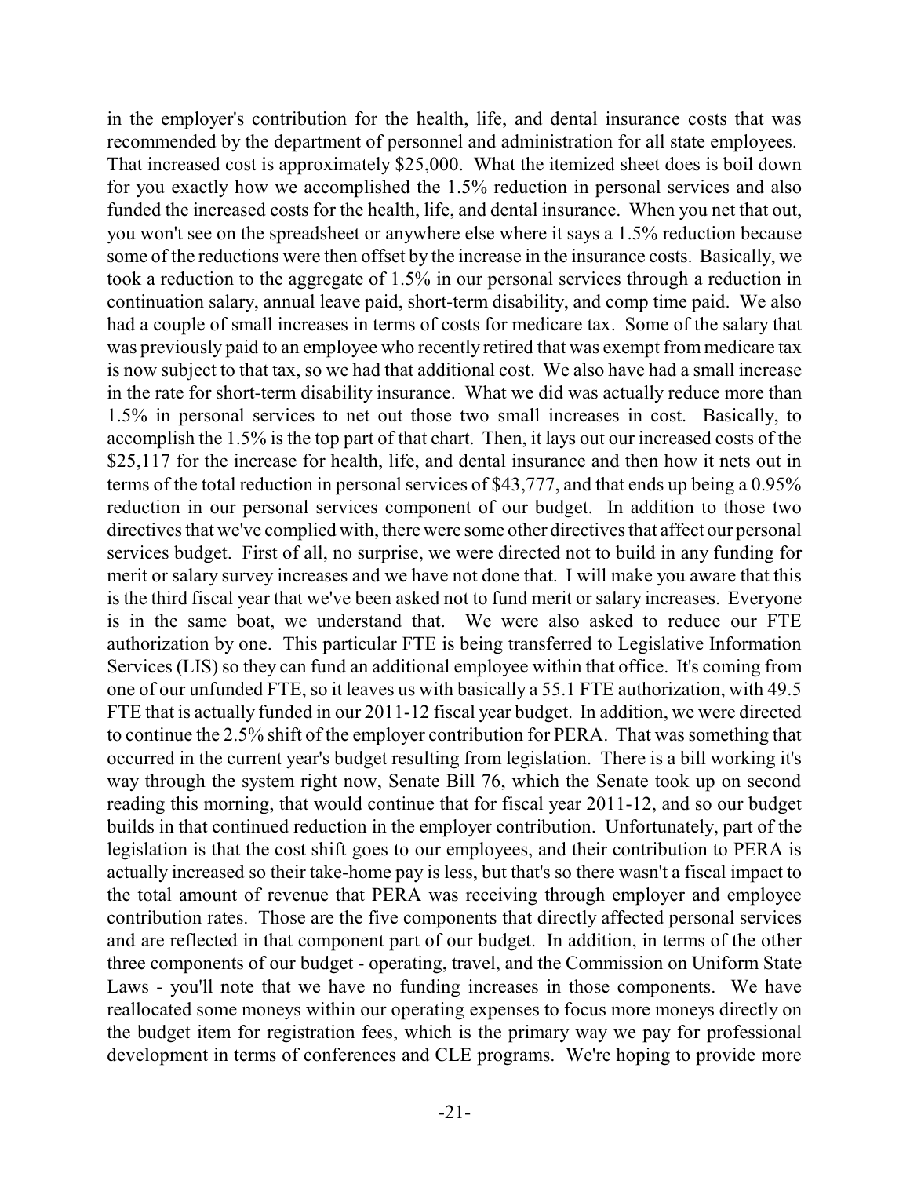in the employer's contribution for the health, life, and dental insurance costs that was recommended by the department of personnel and administration for all state employees. That increased cost is approximately \$25,000. What the itemized sheet does is boil down for you exactly how we accomplished the 1.5% reduction in personal services and also funded the increased costs for the health, life, and dental insurance. When you net that out, you won't see on the spreadsheet or anywhere else where it says a 1.5% reduction because some of the reductions were then offset by the increase in the insurance costs. Basically, we took a reduction to the aggregate of 1.5% in our personal services through a reduction in continuation salary, annual leave paid, short-term disability, and comp time paid. We also had a couple of small increases in terms of costs for medicare tax. Some of the salary that was previously paid to an employee who recently retired that was exempt from medicare tax is now subject to that tax, so we had that additional cost. We also have had a small increase in the rate for short-term disability insurance. What we did was actually reduce more than 1.5% in personal services to net out those two small increases in cost. Basically, to accomplish the 1.5% is the top part of that chart. Then, it lays out our increased costs of the \$25,117 for the increase for health, life, and dental insurance and then how it nets out in terms of the total reduction in personal services of \$43,777, and that ends up being a 0.95% reduction in our personal services component of our budget. In addition to those two directives that we've complied with, there were some other directives that affect our personal services budget. First of all, no surprise, we were directed not to build in any funding for merit or salary survey increases and we have not done that. I will make you aware that this is the third fiscal year that we've been asked not to fund merit or salary increases. Everyone is in the same boat, we understand that. We were also asked to reduce our FTE authorization by one. This particular FTE is being transferred to Legislative Information Services (LIS) so they can fund an additional employee within that office. It's coming from one of our unfunded FTE, so it leaves us with basically a 55.1 FTE authorization, with 49.5 FTE that is actually funded in our 2011-12 fiscal year budget. In addition, we were directed to continue the 2.5% shift of the employer contribution for PERA. That was something that occurred in the current year's budget resulting from legislation. There is a bill working it's way through the system right now, Senate Bill 76, which the Senate took up on second reading this morning, that would continue that for fiscal year 2011-12, and so our budget builds in that continued reduction in the employer contribution. Unfortunately, part of the legislation is that the cost shift goes to our employees, and their contribution to PERA is actually increased so their take-home pay is less, but that's so there wasn't a fiscal impact to the total amount of revenue that PERA was receiving through employer and employee contribution rates. Those are the five components that directly affected personal services and are reflected in that component part of our budget. In addition, in terms of the other three components of our budget - operating, travel, and the Commission on Uniform State Laws - you'll note that we have no funding increases in those components. We have reallocated some moneys within our operating expenses to focus more moneys directly on the budget item for registration fees, which is the primary way we pay for professional development in terms of conferences and CLE programs. We're hoping to provide more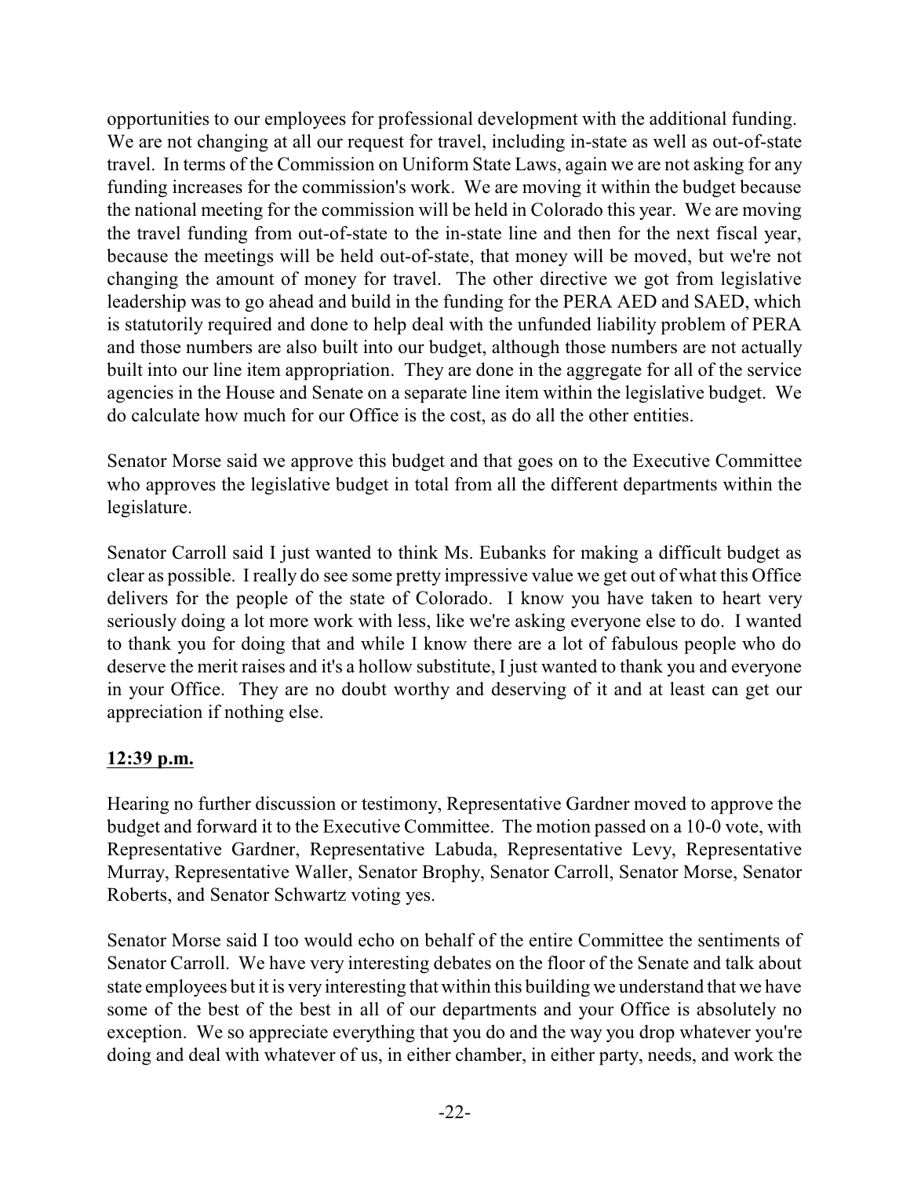opportunities to our employees for professional development with the additional funding. We are not changing at all our request for travel, including in-state as well as out-of-state travel. In terms of the Commission on Uniform State Laws, again we are not asking for any funding increases for the commission's work. We are moving it within the budget because the national meeting for the commission will be held in Colorado this year. We are moving the travel funding from out-of-state to the in-state line and then for the next fiscal year, because the meetings will be held out-of-state, that money will be moved, but we're not changing the amount of money for travel. The other directive we got from legislative leadership was to go ahead and build in the funding for the PERA AED and SAED, which is statutorily required and done to help deal with the unfunded liability problem of PERA and those numbers are also built into our budget, although those numbers are not actually built into our line item appropriation. They are done in the aggregate for all of the service agencies in the House and Senate on a separate line item within the legislative budget. We do calculate how much for our Office is the cost, as do all the other entities.

Senator Morse said we approve this budget and that goes on to the Executive Committee who approves the legislative budget in total from all the different departments within the legislature.

Senator Carroll said I just wanted to think Ms. Eubanks for making a difficult budget as clear as possible. I really do see some pretty impressive value we get out of what this Office delivers for the people of the state of Colorado. I know you have taken to heart very seriously doing a lot more work with less, like we're asking everyone else to do. I wanted to thank you for doing that and while I know there are a lot of fabulous people who do deserve the merit raises and it's a hollow substitute, I just wanted to thank you and everyone in your Office. They are no doubt worthy and deserving of it and at least can get our appreciation if nothing else.

# **12:39 p.m.**

Hearing no further discussion or testimony, Representative Gardner moved to approve the budget and forward it to the Executive Committee. The motion passed on a 10-0 vote, with Representative Gardner, Representative Labuda, Representative Levy, Representative Murray, Representative Waller, Senator Brophy, Senator Carroll, Senator Morse, Senator Roberts, and Senator Schwartz voting yes.

Senator Morse said I too would echo on behalf of the entire Committee the sentiments of Senator Carroll. We have very interesting debates on the floor of the Senate and talk about state employees but it is very interesting that within this building we understand that we have some of the best of the best in all of our departments and your Office is absolutely no exception. We so appreciate everything that you do and the way you drop whatever you're doing and deal with whatever of us, in either chamber, in either party, needs, and work the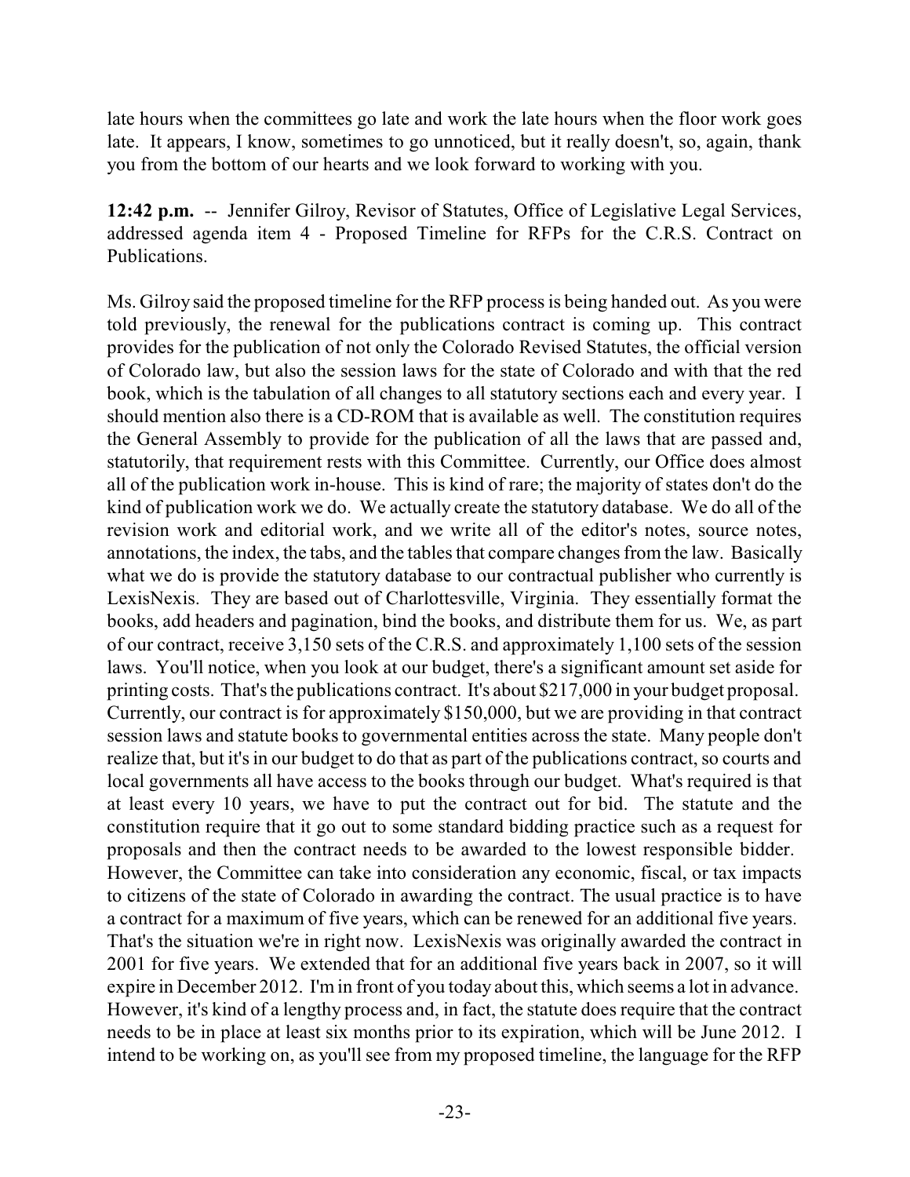late hours when the committees go late and work the late hours when the floor work goes late. It appears, I know, sometimes to go unnoticed, but it really doesn't, so, again, thank you from the bottom of our hearts and we look forward to working with you.

**12:42 p.m.** -- Jennifer Gilroy, Revisor of Statutes, Office of Legislative Legal Services, addressed agenda item 4 - Proposed Timeline for RFPs for the C.R.S. Contract on Publications.

Ms. Gilroy said the proposed timeline for the RFP process is being handed out. As you were told previously, the renewal for the publications contract is coming up. This contract provides for the publication of not only the Colorado Revised Statutes, the official version of Colorado law, but also the session laws for the state of Colorado and with that the red book, which is the tabulation of all changes to all statutory sections each and every year. I should mention also there is a CD-ROM that is available as well. The constitution requires the General Assembly to provide for the publication of all the laws that are passed and, statutorily, that requirement rests with this Committee. Currently, our Office does almost all of the publication work in-house. This is kind of rare; the majority of states don't do the kind of publication work we do. We actually create the statutory database. We do all of the revision work and editorial work, and we write all of the editor's notes, source notes, annotations, the index, the tabs, and the tables that compare changes from the law. Basically what we do is provide the statutory database to our contractual publisher who currently is LexisNexis. They are based out of Charlottesville, Virginia. They essentially format the books, add headers and pagination, bind the books, and distribute them for us. We, as part of our contract, receive 3,150 sets of the C.R.S. and approximately 1,100 sets of the session laws. You'll notice, when you look at our budget, there's a significant amount set aside for printing costs. That's the publications contract. It's about \$217,000 in your budget proposal. Currently, our contract is for approximately \$150,000, but we are providing in that contract session laws and statute books to governmental entities across the state. Many people don't realize that, but it's in our budget to do that as part of the publications contract, so courts and local governments all have access to the books through our budget. What's required is that at least every 10 years, we have to put the contract out for bid. The statute and the constitution require that it go out to some standard bidding practice such as a request for proposals and then the contract needs to be awarded to the lowest responsible bidder. However, the Committee can take into consideration any economic, fiscal, or tax impacts to citizens of the state of Colorado in awarding the contract. The usual practice is to have a contract for a maximum of five years, which can be renewed for an additional five years. That's the situation we're in right now. LexisNexis was originally awarded the contract in 2001 for five years. We extended that for an additional five years back in 2007, so it will expire in December 2012. I'min front of you today about this, which seems a lot in advance. However, it's kind of a lengthy process and, in fact, the statute does require that the contract needs to be in place at least six months prior to its expiration, which will be June 2012. I intend to be working on, as you'll see from my proposed timeline, the language for the RFP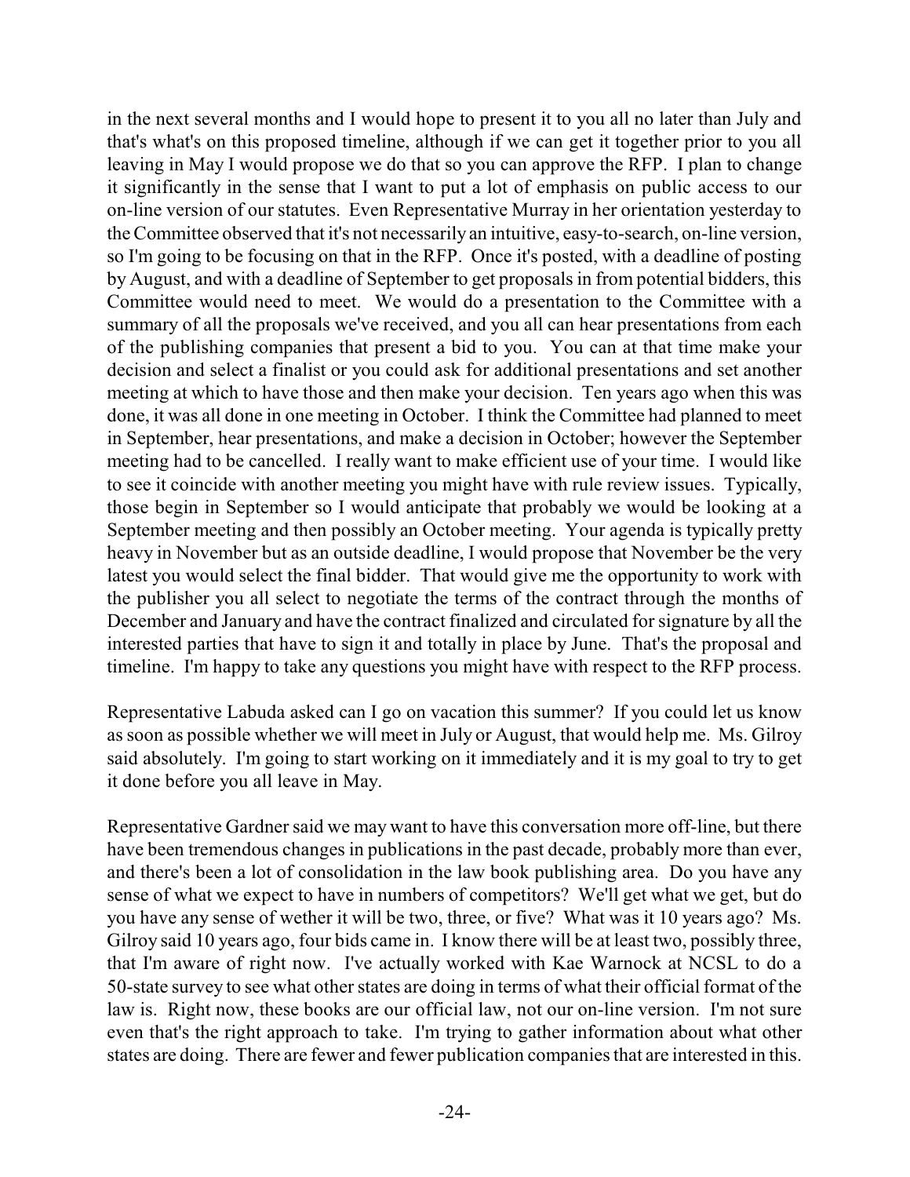in the next several months and I would hope to present it to you all no later than July and that's what's on this proposed timeline, although if we can get it together prior to you all leaving in May I would propose we do that so you can approve the RFP. I plan to change it significantly in the sense that I want to put a lot of emphasis on public access to our on-line version of our statutes. Even Representative Murray in her orientation yesterday to the Committee observed that it's not necessarily an intuitive, easy-to-search, on-line version, so I'm going to be focusing on that in the RFP. Once it's posted, with a deadline of posting by August, and with a deadline of September to get proposals in from potential bidders, this Committee would need to meet. We would do a presentation to the Committee with a summary of all the proposals we've received, and you all can hear presentations from each of the publishing companies that present a bid to you. You can at that time make your decision and select a finalist or you could ask for additional presentations and set another meeting at which to have those and then make your decision. Ten years ago when this was done, it was all done in one meeting in October. I think the Committee had planned to meet in September, hear presentations, and make a decision in October; however the September meeting had to be cancelled. I really want to make efficient use of your time. I would like to see it coincide with another meeting you might have with rule review issues. Typically, those begin in September so I would anticipate that probably we would be looking at a September meeting and then possibly an October meeting. Your agenda is typically pretty heavy in November but as an outside deadline, I would propose that November be the very latest you would select the final bidder. That would give me the opportunity to work with the publisher you all select to negotiate the terms of the contract through the months of December and January and have the contract finalized and circulated for signature by all the interested parties that have to sign it and totally in place by June. That's the proposal and timeline. I'm happy to take any questions you might have with respect to the RFP process.

Representative Labuda asked can I go on vacation this summer? If you could let us know as soon as possible whether we will meet in July or August, that would help me. Ms. Gilroy said absolutely. I'm going to start working on it immediately and it is my goal to try to get it done before you all leave in May.

Representative Gardner said we may want to have this conversation more off-line, but there have been tremendous changes in publications in the past decade, probably more than ever, and there's been a lot of consolidation in the law book publishing area. Do you have any sense of what we expect to have in numbers of competitors? We'll get what we get, but do you have any sense of wether it will be two, three, or five? What was it 10 years ago? Ms. Gilroy said 10 years ago, four bids came in. I know there will be at least two, possibly three, that I'm aware of right now. I've actually worked with Kae Warnock at NCSL to do a 50-state survey to see what other states are doing in terms of what their official format of the law is. Right now, these books are our official law, not our on-line version. I'm not sure even that's the right approach to take. I'm trying to gather information about what other states are doing. There are fewer and fewer publication companies that are interested in this.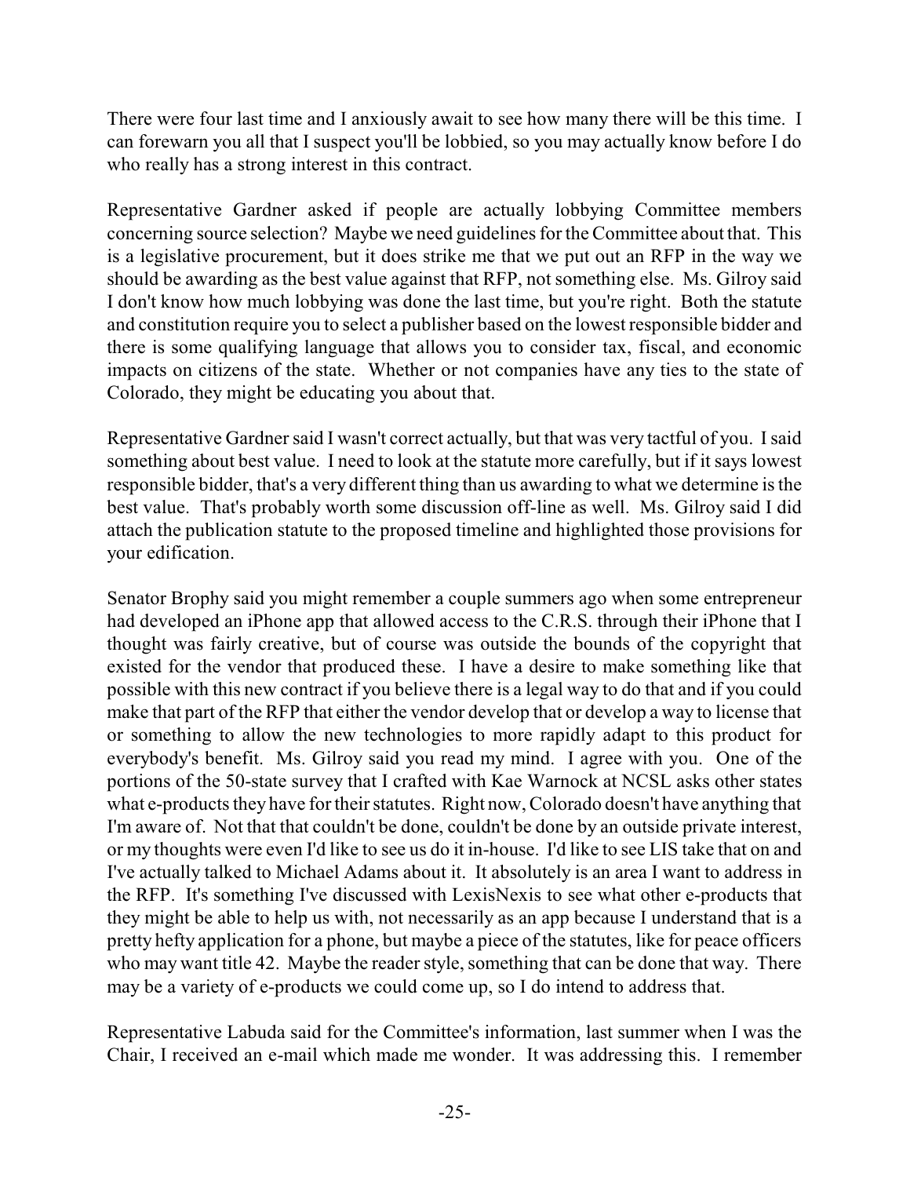There were four last time and I anxiously await to see how many there will be this time. I can forewarn you all that I suspect you'll be lobbied, so you may actually know before I do who really has a strong interest in this contract.

Representative Gardner asked if people are actually lobbying Committee members concerning source selection? Maybe we need guidelines for the Committee about that. This is a legislative procurement, but it does strike me that we put out an RFP in the way we should be awarding as the best value against that RFP, not something else. Ms. Gilroy said I don't know how much lobbying was done the last time, but you're right. Both the statute and constitution require you to select a publisher based on the lowest responsible bidder and there is some qualifying language that allows you to consider tax, fiscal, and economic impacts on citizens of the state. Whether or not companies have any ties to the state of Colorado, they might be educating you about that.

Representative Gardner said I wasn't correct actually, but that was very tactful of you. I said something about best value. I need to look at the statute more carefully, but if it says lowest responsible bidder, that's a very different thing than us awarding to what we determine is the best value. That's probably worth some discussion off-line as well. Ms. Gilroy said I did attach the publication statute to the proposed timeline and highlighted those provisions for your edification.

Senator Brophy said you might remember a couple summers ago when some entrepreneur had developed an iPhone app that allowed access to the C.R.S. through their iPhone that I thought was fairly creative, but of course was outside the bounds of the copyright that existed for the vendor that produced these. I have a desire to make something like that possible with this new contract if you believe there is a legal way to do that and if you could make that part of the RFP that either the vendor develop that or develop a way to license that or something to allow the new technologies to more rapidly adapt to this product for everybody's benefit. Ms. Gilroy said you read my mind. I agree with you. One of the portions of the 50-state survey that I crafted with Kae Warnock at NCSL asks other states what e-products they have for their statutes. Right now, Colorado doesn't have anything that I'm aware of. Not that that couldn't be done, couldn't be done by an outside private interest, or my thoughts were even I'd like to see us do it in-house. I'd like to see LIS take that on and I've actually talked to Michael Adams about it. It absolutely is an area I want to address in the RFP. It's something I've discussed with LexisNexis to see what other e-products that they might be able to help us with, not necessarily as an app because I understand that is a pretty hefty application for a phone, but maybe a piece of the statutes, like for peace officers who may want title 42. Maybe the reader style, something that can be done that way. There may be a variety of e-products we could come up, so I do intend to address that.

Representative Labuda said for the Committee's information, last summer when I was the Chair, I received an e-mail which made me wonder. It was addressing this. I remember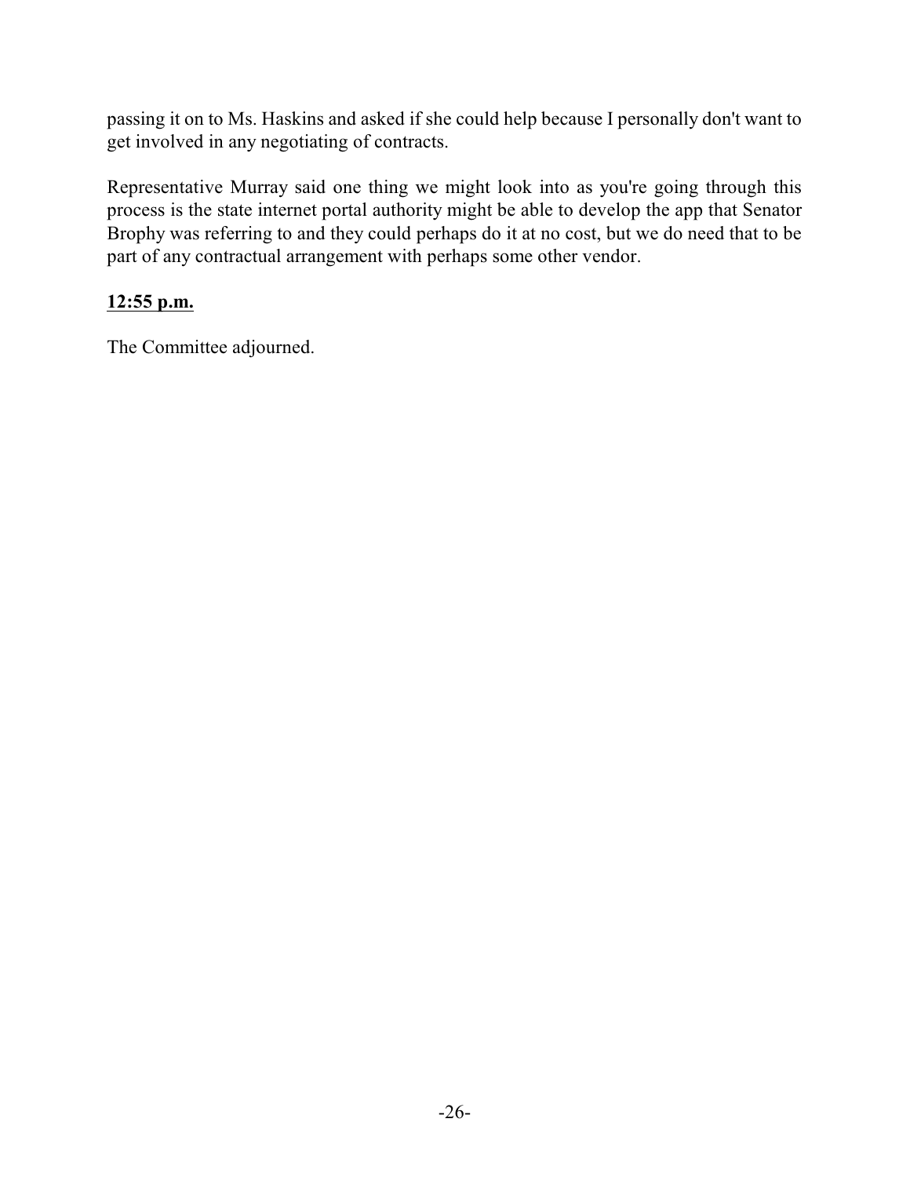passing it on to Ms. Haskins and asked if she could help because I personally don't want to get involved in any negotiating of contracts.

Representative Murray said one thing we might look into as you're going through this process is the state internet portal authority might be able to develop the app that Senator Brophy was referring to and they could perhaps do it at no cost, but we do need that to be part of any contractual arrangement with perhaps some other vendor.

## **12:55 p.m.**

The Committee adjourned.